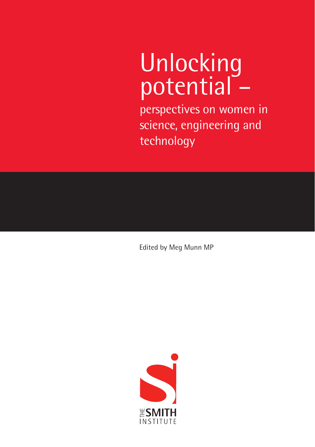# Unlocking potential -

perspectives on women in science, engineering and technology

Edited by Meg Munn MP

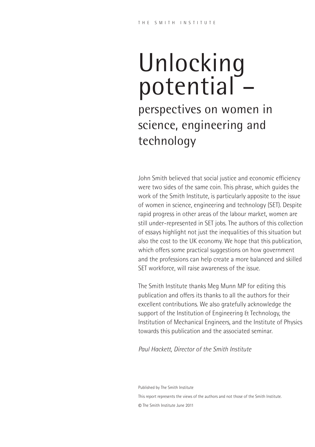# Unlocking potential<sup>-</sup>

perspectives on women in science, engineering and technology

John Smith believed that social justice and economic efficiency were two sides of the same coin. This phrase, which guides the work of the Smith Institute, is particularly apposite to the issue of women in science, engineering and technology (SET). Despite rapid progress in other areas of the labour market, women are still under-represented in SET jobs. The authors of this collection of essays highlight not just the inequalities of this situation but also the cost to the UK economy. We hope that this publication, which offers some practical suggestions on how government and the professions can help create a more balanced and skilled SET workforce, will raise awareness of the issue.

The Smith Institute thanks Meg Munn MP for editing this publication and offers its thanks to all the authors for their excellent contributions. We also gratefully acknowledge the support of the Institution of Engineering & Technology, the Institution of Mechanical Engineers, and the Institute of Physics towards this publication and the associated seminar.

*Paul Hackett, Director of the Smith Institute*

Published by The Smith Institute This report represents the views of the authors and not those of the Smith Institute. © The Smith Institute June 2011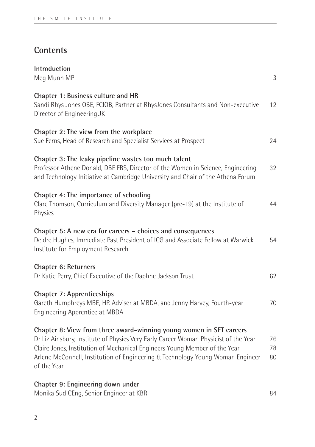## **Contents**

| Introduction<br>Meg Munn MP                                                                                                                                                                                                                                                                                                               | $\sqrt{3}$       |
|-------------------------------------------------------------------------------------------------------------------------------------------------------------------------------------------------------------------------------------------------------------------------------------------------------------------------------------------|------------------|
| Chapter 1: Business culture and HR<br>Sandi Rhys Jones OBE, FCIOB, Partner at RhysJones Consultants and Non-executive<br>Director of EngineeringUK                                                                                                                                                                                        | 12               |
| Chapter 2: The view from the workplace<br>Sue Ferns, Head of Research and Specialist Services at Prospect                                                                                                                                                                                                                                 | 24               |
| Chapter 3: The leaky pipeline wastes too much talent<br>Professor Athene Donald, DBE FRS, Director of the Women in Science, Engineering<br>and Technology Initiative at Cambridge University and Chair of the Athena Forum                                                                                                                | 32               |
| Chapter 4: The importance of schooling<br>Clare Thomson, Curriculum and Diversity Manager (pre-19) at the Institute of<br>Physics                                                                                                                                                                                                         | 44               |
| Chapter 5: A new era for careers - choices and consequences<br>Deidre Hughes, Immediate Past President of ICG and Associate Fellow at Warwick<br>Institute for Employment Research                                                                                                                                                        | 54               |
| Chapter 6: Returners<br>Dr Katie Perry, Chief Executive of the Daphne Jackson Trust                                                                                                                                                                                                                                                       | 62               |
| Chapter 7: Apprenticeships<br>Gareth Humphreys MBE, HR Adviser at MBDA, and Jenny Harvey, Fourth-year<br>Engineering Apprentice at MBDA                                                                                                                                                                                                   | 70               |
| Chapter 8: View from three award-winning young women in SET careers<br>Dr Liz Ainsbury, Institute of Physics Very Early Career Woman Physicist of the Year<br>Claire Jones, Institution of Mechanical Engineers Young Member of the Year<br>Arlene McConnell, Institution of Engineering & Technology Young Woman Engineer<br>of the Year | 76<br>78<br>80   |
| Chapter 9: Engineering down under<br>Martin Carl OF an Carter Frederick HAD                                                                                                                                                                                                                                                               | $\sim$ $\lambda$ |

Monika Sud CEng, Senior Engineer at KBR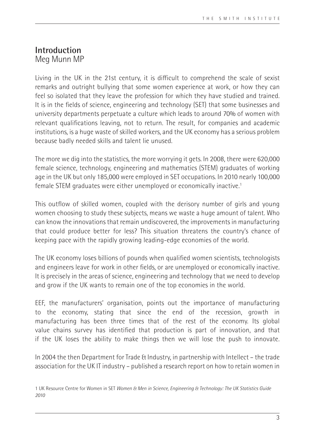### **Introduction** Meg Munn MP

Living in the UK in the 21st century, it is difficult to comprehend the scale of sexist remarks and outright bullying that some women experience at work, or how they can feel so isolated that they leave the profession for which they have studied and trained. It is in the fields of science, engineering and technology (SET) that some businesses and university departments perpetuate a culture which leads to around 70% of women with relevant qualifications leaving, not to return. The result, for companies and academic institutions, is a huge waste of skilled workers, and the UK economy has a serious problem because badly needed skills and talent lie unused.

The more we dig into the statistics, the more worrying it gets. In 2008, there were 620,000 female science, technology, engineering and mathematics (STEM) graduates of working age in the UK but only 185,000 were employed in SET occupations. In 2010 nearly 100,000 female STEM graduates were either unemployed or economically inactive.<sup>1</sup>

This outflow of skilled women, coupled with the derisory number of girls and young women choosing to study these subjects, means we waste a huge amount of talent. Who can know the innovations that remain undiscovered, the improvements in manufacturing that could produce better for less? This situation threatens the country's chance of keeping pace with the rapidly growing leading-edge economies of the world.

The UK economy loses billions of pounds when qualified women scientists, technologists and engineers leave for work in other fields, or are unemployed or economically inactive. It is precisely in the areas of science, engineering and technology that we need to develop and grow if the UK wants to remain one of the top economies in the world.

EEF, the manufacturers' organisation, points out the importance of manufacturing to the economy, stating that since the end of the recession, growth in manufacturing has been three times that of the rest of the economy. Its global value chains survey has identified that production is part of innovation, and that if the UK loses the ability to make things then we will lose the push to innovate.

In 2004 the then Department for Trade & Industry, in partnership with Intellect – the trade association for the UK IT industry – published a research report on how to retain women in

<sup>1</sup> UK Resource Centre for Women in SET *Women & Men in Science, Engineering & Technology: The UK Statistics Guide 2010*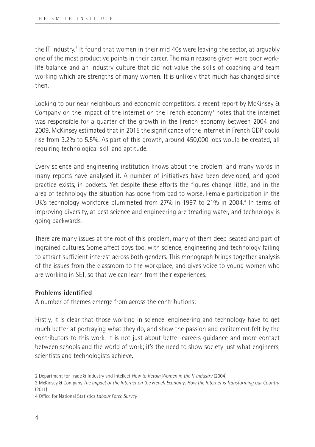the IT industry.<sup>2</sup> It found that women in their mid 40s were leaving the sector, at arguably one of the most productive points in their career. The main reasons given were poor worklife balance and an industry culture that did not value the skills of coaching and team working which are strengths of many women. It is unlikely that much has changed since then.

Looking to our near neighbours and economic competitors, a recent report by McKinsey & Company on the impact of the internet on the French economy<sup>3</sup> notes that the internet was responsible for a quarter of the growth in the French economy between 2004 and 2009. McKinsey estimated that in 2015 the significance of the internet in French GDP could rise from 3.2% to 5.5%. As part of this growth, around 450,000 jobs would be created, all requiring technological skill and aptitude.

Every science and engineering institution knows about the problem, and many words in many reports have analysed it. A number of initiatives have been developed, and good practice exists, in pockets. Yet despite these efforts the figures change little, and in the area of technology the situation has gone from bad to worse. Female participation in the UK's technology workforce plummeted from 27% in 1997 to 21% in 2004.<sup>4</sup> In terms of improving diversity, at best science and engineering are treading water, and technology is going backwards.

There are many issues at the root of this problem, many of them deep-seated and part of ingrained cultures. Some affect boys too, with science, engineering and technology failing to attract sufficient interest across both genders. This monograph brings together analysis of the issues from the classroom to the workplace, and gives voice to young women who are working in SET, so that we can learn from their experiences.

#### **Problems identified**

A number of themes emerge from across the contributions:

Firstly, it is clear that those working in science, engineering and technology have to get much better at portraying what they do, and show the passion and excitement felt by the contributors to this work. It is not just about better careers guidance and more contact between schools and the world of work; it's the need to show society just what engineers, scientists and technologists achieve.

4 Office for National Statistics *Labour Force Survey*

<sup>2</sup> Department for Trade & Industry and Intellect *How to Retain Women in the IT Industry* (2004)

<sup>3</sup> McKinsey & Company *The Impact of the Internet on the French Economy: How the Internet is Transforming our Country*  $(2011)$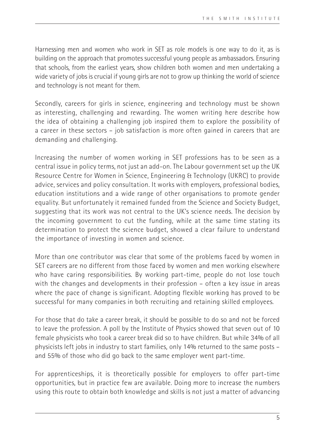Harnessing men and women who work in SET as role models is one way to do it, as is building on the approach that promotes successful young people as ambassadors. Ensuring that schools, from the earliest years, show children both women and men undertaking a wide variety of jobs is crucial if young girls are not to grow up thinking the world of science and technology is not meant for them.

Secondly, careers for girls in science, engineering and technology must be shown as interesting, challenging and rewarding. The women writing here describe how the idea of obtaining a challenging job inspired them to explore the possibility of a career in these sectors – job satisfaction is more often gained in careers that are demanding and challenging.

Increasing the number of women working in SET professions has to be seen as a central issue in policy terms, not just an add-on. The Labour government set up the UK Resource Centre for Women in Science, Engineering & Technology (UKRC) to provide advice, services and policy consultation. It works with employers, professional bodies, education institutions and a wide range of other organisations to promote gender equality. But unfortunately it remained funded from the Science and Society Budget, suggesting that its work was not central to the UK's science needs. The decision by the incoming government to cut the funding, while at the same time stating its determination to protect the science budget, showed a clear failure to understand the importance of investing in women and science.

More than one contributor was clear that some of the problems faced by women in SET careers are no different from those faced by women and men working elsewhere who have caring responsibilities. By working part-time, people do not lose touch with the changes and developments in their profession – often a key issue in areas where the pace of change is significant. Adopting flexible working has proved to be successful for many companies in both recruiting and retaining skilled employees.

For those that do take a career break, it should be possible to do so and not be forced to leave the profession. A poll by the Institute of Physics showed that seven out of 10 female physicists who took a career break did so to have children. But while 34% of all physicists left jobs in industry to start families, only 14% returned to the same posts – and 55% of those who did go back to the same employer went part-time.

For apprenticeships, it is theoretically possible for employers to offer part-time opportunities, but in practice few are available. Doing more to increase the numbers using this route to obtain both knowledge and skills is not just a matter of advancing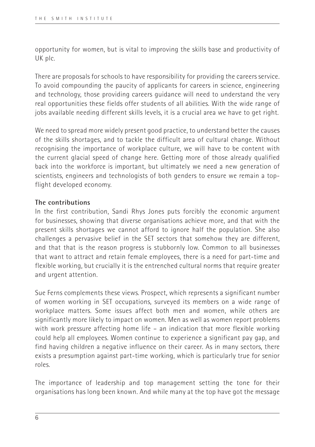opportunity for women, but is vital to improving the skills base and productivity of UK plc.

There are proposals for schools to have responsibility for providing the careers service. To avoid compounding the paucity of applicants for careers in science, engineering and technology, those providing careers guidance will need to understand the very real opportunities these fields offer students of all abilities. With the wide range of jobs available needing different skills levels, it is a crucial area we have to get right.

We need to spread more widely present good practice, to understand better the causes of the skills shortages, and to tackle the difficult area of cultural change. Without recognising the importance of workplace culture, we will have to be content with the current glacial speed of change here. Getting more of those already qualified back into the workforce is important, but ultimately we need a new generation of scientists, engineers and technologists of both genders to ensure we remain a topflight developed economy.

#### **The contributions**

In the first contribution, Sandi Rhys Jones puts forcibly the economic argument for businesses, showing that diverse organisations achieve more, and that with the present skills shortages we cannot afford to ignore half the population. She also challenges a pervasive belief in the SET sectors that somehow they are different, and that that is the reason progress is stubbornly low. Common to all businesses that want to attract and retain female employees, there is a need for part-time and flexible working, but crucially it is the entrenched cultural norms that require greater and urgent attention.

Sue Ferns complements these views. Prospect, which represents a significant number of women working in SET occupations, surveyed its members on a wide range of workplace matters. Some issues affect both men and women, while others are significantly more likely to impact on women. Men as well as women report problems with work pressure affecting home life – an indication that more flexible working could help all employees. Women continue to experience a significant pay gap, and find having children a negative influence on their career. As in many sectors, there exists a presumption against part-time working, which is particularly true for senior roles.

The importance of leadership and top management setting the tone for their organisations has long been known. And while many at the top have got the message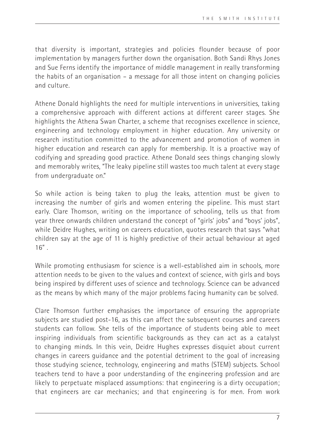that diversity is important, strategies and policies flounder because of poor implementation by managers further down the organisation. Both Sandi Rhys Jones and Sue Ferns identify the importance of middle management in really transforming the habits of an organisation – a message for all those intent on changing policies and culture.

Athene Donald highlights the need for multiple interventions in universities, taking a comprehensive approach with different actions at different career stages. She highlights the Athena Swan Charter, a scheme that recognises excellence in science, engineering and technology employment in higher education. Any university or research institution committed to the advancement and promotion of women in higher education and research can apply for membership. It is a proactive way of codifying and spreading good practice. Athene Donald sees things changing slowly and memorably writes, "The leaky pipeline still wastes too much talent at every stage from undergraduate on."

So while action is being taken to plug the leaks, attention must be given to increasing the number of girls and women entering the pipeline. This must start early. Clare Thomson, writing on the importance of schooling, tells us that from year three onwards children understand the concept of "girls' jobs" and "boys' jobs", while Deidre Hughes, writing on careers education, quotes research that says "what children say at the age of 11 is highly predictive of their actual behaviour at aged  $16"$ .

While promoting enthusiasm for science is a well-established aim in schools, more attention needs to be given to the values and context of science, with girls and boys being inspired by different uses of science and technology. Science can be advanced as the means by which many of the major problems facing humanity can be solved.

Clare Thomson further emphasises the importance of ensuring the appropriate subjects are studied post-16, as this can affect the subsequent courses and careers students can follow. She tells of the importance of students being able to meet inspiring individuals from scientific backgrounds as they can act as a catalyst to changing minds. In this vein, Deidre Hughes expresses disquiet about current changes in careers guidance and the potential detriment to the goal of increasing those studying science, technology, engineering and maths (STEM) subjects. School teachers tend to have a poor understanding of the engineering profession and are likely to perpetuate misplaced assumptions: that engineering is a dirty occupation; that engineers are car mechanics; and that engineering is for men. From work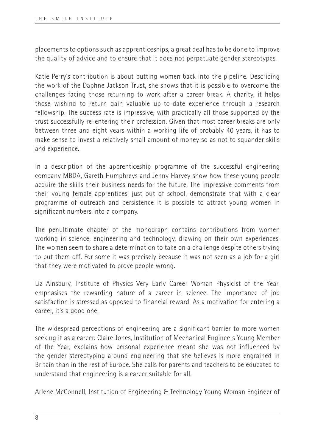placements to options such as apprenticeships, a great deal has to be done to improve the quality of advice and to ensure that it does not perpetuate gender stereotypes.

Katie Perry's contribution is about putting women back into the pipeline. Describing the work of the Daphne Jackson Trust, she shows that it is possible to overcome the challenges facing those returning to work after a career break. A charity, it helps those wishing to return gain valuable up-to-date experience through a research fellowship. The success rate is impressive, with practically all those supported by the trust successfully re-entering their profession. Given that most career breaks are only between three and eight years within a working life of probably 40 years, it has to make sense to invest a relatively small amount of money so as not to squander skills and experience.

In a description of the apprenticeship programme of the successful engineering company MBDA, Gareth Humphreys and Jenny Harvey show how these young people acquire the skills their business needs for the future. The impressive comments from their young female apprentices, just out of school, demonstrate that with a clear programme of outreach and persistence it is possible to attract young women in significant numbers into a company.

The penultimate chapter of the monograph contains contributions from women working in science, engineering and technology, drawing on their own experiences. The women seem to share a determination to take on a challenge despite others trying to put them off. For some it was precisely because it was not seen as a job for a girl that they were motivated to prove people wrong.

Liz Ainsbury, Institute of Physics Very Early Career Woman Physicist of the Year, emphasises the rewarding nature of a career in science. The importance of job satisfaction is stressed as opposed to financial reward. As a motivation for entering a career, it's a good one.

The widespread perceptions of engineering are a significant barrier to more women seeking it as a career. Claire Jones, Institution of Mechanical Engineers Young Member of the Year, explains how personal experience meant she was not influenced by the gender stereotyping around engineering that she believes is more engrained in Britain than in the rest of Europe. She calls for parents and teachers to be educated to understand that engineering is a career suitable for all.

Arlene McConnell, Institution of Engineering & Technology Young Woman Engineer of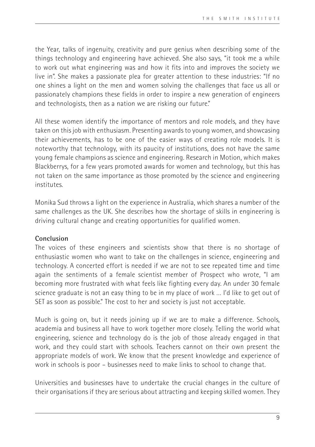the Year, talks of ingenuity, creativity and pure genius when describing some of the things technology and engineering have achieved. She also says, "it took me a while to work out what engineering was and how it fits into and improves the society we live in". She makes a passionate plea for greater attention to these industries: "If no one shines a light on the men and women solving the challenges that face us all or passionately champions these fields in order to inspire a new generation of engineers and technologists, then as a nation we are risking our future."

All these women identify the importance of mentors and role models, and they have taken on this job with enthusiasm. Presenting awards to young women, and showcasing their achievements, has to be one of the easier ways of creating role models. It is noteworthy that technology, with its paucity of institutions, does not have the same young female champions as science and engineering. Research in Motion, which makes Blackberrys, for a few years promoted awards for women and technology, but this has not taken on the same importance as those promoted by the science and engineering institutes.

Monika Sud throws a light on the experience in Australia, which shares a number of the same challenges as the UK. She describes how the shortage of skills in engineering is driving cultural change and creating opportunities for qualified women.

#### **Conclusion**

The voices of these engineers and scientists show that there is no shortage of enthusiastic women who want to take on the challenges in science, engineering and technology. A concerted effort is needed if we are not to see repeated time and time again the sentiments of a female scientist member of Prospect who wrote, "I am becoming more frustrated with what feels like fighting every day. An under 30 female science graduate is not an easy thing to be in my place of work … I'd like to get out of SET as soon as possible." The cost to her and society is just not acceptable.

Much is going on, but it needs joining up if we are to make a difference. Schools, academia and business all have to work together more closely. Telling the world what engineering, science and technology do is the job of those already engaged in that work, and they could start with schools. Teachers cannot on their own present the appropriate models of work. We know that the present knowledge and experience of work in schools is poor – businesses need to make links to school to change that.

Universities and businesses have to undertake the crucial changes in the culture of their organisations if they are serious about attracting and keeping skilled women. They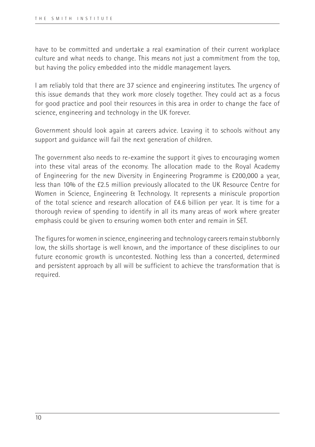have to be committed and undertake a real examination of their current workplace culture and what needs to change. This means not just a commitment from the top, but having the policy embedded into the middle management layers.

I am reliably told that there are 37 science and engineering institutes. The urgency of this issue demands that they work more closely together. They could act as a focus for good practice and pool their resources in this area in order to change the face of science, engineering and technology in the UK forever.

Government should look again at careers advice. Leaving it to schools without any support and guidance will fail the next generation of children.

The government also needs to re-examine the support it gives to encouraging women into these vital areas of the economy. The allocation made to the Royal Academy of Engineering for the new Diversity in Engineering Programme is £200,000 a year, less than 10% of the £2.5 million previously allocated to the UK Resource Centre for Women in Science, Engineering & Technology. It represents a miniscule proportion of the total science and research allocation of £4.6 billion per year. It is time for a thorough review of spending to identify in all its many areas of work where greater emphasis could be given to ensuring women both enter and remain in SET.

The figures for women in science, engineering and technology careers remain stubbornly low, the skills shortage is well known, and the importance of these disciplines to our future economic growth is uncontested. Nothing less than a concerted, determined and persistent approach by all will be sufficient to achieve the transformation that is required.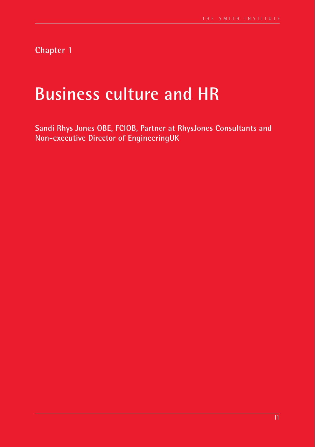**Chapter 1**

# **Business culture and HR**

**Sandi Rhys Jones OBE, FCIOB, Partner at RhysJones Consultants and Non-executive Director of EngineeringUK**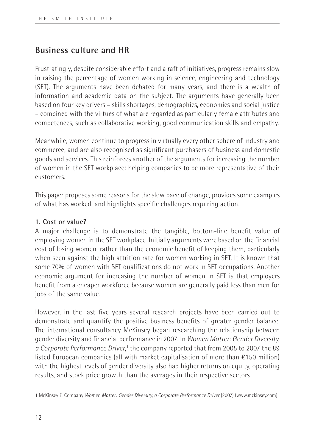### **Business culture and HR**

Frustratingly, despite considerable effort and a raft of initiatives, progress remains slow in raising the percentage of women working in science, engineering and technology (SET). The arguments have been debated for many years, and there is a wealth of information and academic data on the subject. The arguments have generally been based on four key drivers – skills shortages, demographics, economics and social justice – combined with the virtues of what are regarded as particularly female attributes and competences, such as collaborative working, good communication skills and empathy.

Meanwhile, women continue to progress in virtually every other sphere of industry and commerce, and are also recognised as significant purchasers of business and domestic goods and services. This reinforces another of the arguments for increasing the number of women in the SET workplace: helping companies to be more representative of their customers.

This paper proposes some reasons for the slow pace of change, provides some examples of what has worked, and highlights specific challenges requiring action.

#### **1. Cost or value?**

A major challenge is to demonstrate the tangible, bottom-line benefit value of employing women in the SET workplace. Initially arguments were based on the financial cost of losing women, rather than the economic benefit of keeping them, particularly when seen against the high attrition rate for women working in SET. It is known that some 70% of women with SET qualifications do not work in SET occupations. Another economic argument for increasing the number of women in SET is that employers benefit from a cheaper workforce because women are generally paid less than men for jobs of the same value.

However, in the last five years several research projects have been carried out to demonstrate and quantify the positive business benefits of greater gender balance. The international consultancy McKinsey began researching the relationship between gender diversity and financial performance in 2007. In *Women Matter: Gender Diversity,*  a Corporate Performance Driver,<sup>1</sup> the company reported that from 2005 to 2007 the 89 listed European companies (all with market capitalisation of more than €150 million) with the highest levels of gender diversity also had higher returns on equity, operating results, and stock price growth than the averages in their respective sectors.

<sup>1</sup> McKinsey & Company *Women Matter: Gender Diversity, a Corporate Performance Driver* (2007) (www.mckinsey.com)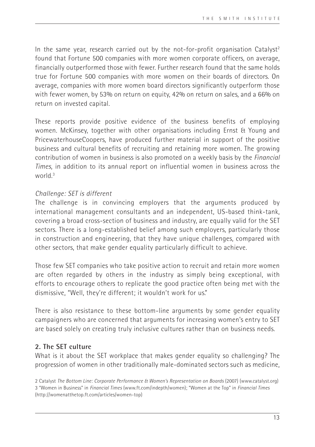In the same year, research carried out by the not-for-profit organisation Catalyst<sup>2</sup> found that Fortune 500 companies with more women corporate officers, on average, financially outperformed those with fewer. Further research found that the same holds true for Fortune 500 companies with more women on their boards of directors. On average, companies with more women board directors significantly outperform those with fewer women, by 53% on return on equity, 42% on return on sales, and a 66% on return on invested capital.

These reports provide positive evidence of the business benefits of employing women. McKinsey, together with other organisations including Ernst & Young and PricewaterhouseCoopers, have produced further material in support of the positive business and cultural benefits of recruiting and retaining more women. The growing contribution of women in business is also promoted on a weekly basis by the *Financial Times*, in addition to its annual report on influential women in business across the world<sup>3</sup>

#### *Challenge: SET is different*

The challenge is in convincing employers that the arguments produced by international management consultants and an independent, US-based think-tank, covering a broad cross-section of business and industry, are equally valid for the SET sectors. There is a long-established belief among such employers, particularly those in construction and engineering, that they have unique challenges, compared with other sectors, that make gender equality particularly difficult to achieve.

Those few SET companies who take positive action to recruit and retain more women are often regarded by others in the industry as simply being exceptional, with efforts to encourage others to replicate the good practice often being met with the dismissive, "Well, they're different; it wouldn't work for us."

There is also resistance to these bottom-line arguments by some gender equality campaigners who are concerned that arguments for increasing women's entry to SET are based solely on creating truly inclusive cultures rather than on business needs.

#### **2. The SET culture**

What is it about the SET workplace that makes gender equality so challenging? The progression of women in other traditionally male-dominated sectors such as medicine,

<sup>2</sup> Catalyst *The Bottom Line: Corporate Performance & Women's Representation on Boards* (2007) (www.catalyst.org) 3 "Women in Business" in *Financial Times* (www.ft.com/indepth/women); "Women at the Top" in *Financial Times*  (http://womenatthetop.ft.com/articles/women-top)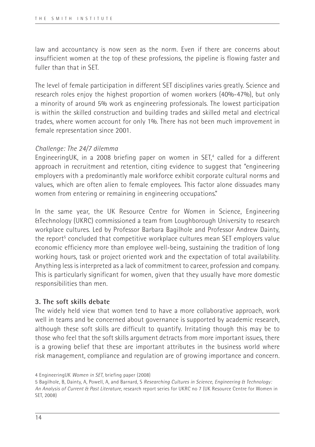law and accountancy is now seen as the norm. Even if there are concerns about insufficient women at the top of these professions, the pipeline is flowing faster and fuller than that in SET.

The level of female participation in different SET disciplines varies greatly. Science and research roles enjoy the highest proportion of women workers (40%-47%), but only a minority of around 5% work as engineering professionals. The lowest participation is within the skilled construction and building trades and skilled metal and electrical trades, where women account for only 1%. There has not been much improvement in female representation since 2001.

#### *Challenge: The 24/7 dilemma*

EngineeringUK, in a 2008 briefing paper on women in SET,<sup>4</sup> called for a different approach in recruitment and retention, citing evidence to suggest that "engineering employers with a predominantly male workforce exhibit corporate cultural norms and values, which are often alien to female employees. This factor alone dissuades many women from entering or remaining in engineering occupations."

In the same year, the UK Resource Centre for Women in Science, Engineering &Technology (UKRC) commissioned a team from Loughborough University to research workplace cultures. Led by Professor Barbara Bagilhole and Professor Andrew Dainty, the report<sup>5</sup> concluded that competitive workplace cultures mean SET employers value economic efficiency more than employee well-being, sustaining the tradition of long working hours, task or project oriented work and the expectation of total availability. Anything less is interpreted as a lack of commitment to career, profession and company. This is particularly significant for women, given that they usually have more domestic responsibilities than men.

#### **3. The soft skills debate**

The widely held view that women tend to have a more collaborative approach, work well in teams and be concerned about governance is supported by academic research, although these soft skills are difficult to quantify. Irritating though this may be to those who feel that the soft skills argument detracts from more important issues, there is a growing belief that these are important attributes in the business world where risk management, compliance and regulation are of growing importance and concern.

<sup>4</sup> EngineeringUK *Women in SET*, briefing paper (2008)

<sup>5</sup> Bagilhole, B, Dainty, A, Powell, A, and Barnard, S *Researching Cultures in Science, Engineering & Technology: An Analysis of Current & Past Literature*, research report series for UKRC no 7 (UK Resource Centre for Women in SET, 2008)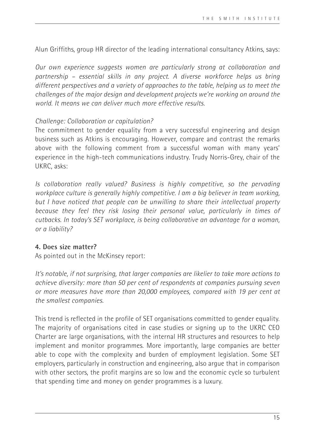Alun Griffiths, group HR director of the leading international consultancy Atkins, says:

*Our own experience suggests women are particularly strong at collaboration and partnership – essential skills in any project. A diverse workforce helps us bring different perspectives and a variety of approaches to the table, helping us to meet the challenges of the major design and development projects we're working on around the world. It means we can deliver much more effective results.* 

#### *Challenge: Collaboration or capitulation?*

The commitment to gender equality from a very successful engineering and design business such as Atkins is encouraging. However, compare and contrast the remarks above with the following comment from a successful woman with many years' experience in the high-tech communications industry. Trudy Norris-Grey, chair of the UKRC, asks:

*Is collaboration really valued? Business is highly competitive, so the pervading workplace culture is generally highly competitive. I am a big believer in team working, but I have noticed that people can be unwilling to share their intellectual property because they feel they risk losing their personal value, particularly in times of cutbacks. In today's SET workplace, is being collaborative an advantage for a woman, or a liability?*

#### **4. Does size matter?**

As pointed out in the McKinsey report:

*It's notable, if not surprising, that larger companies are likelier to take more actions to achieve diversity: more than 50 per cent of respondents at companies pursuing seven or more measures have more than 20,000 employees, compared with 19 per cent at the smallest companies.*

This trend is reflected in the profile of SET organisations committed to gender equality. The majority of organisations cited in case studies or signing up to the UKRC CEO Charter are large organisations, with the internal HR structures and resources to help implement and monitor programmes. More importantly, large companies are better able to cope with the complexity and burden of employment legislation. Some SET employers, particularly in construction and engineering, also argue that in comparison with other sectors, the profit margins are so low and the economic cycle so turbulent that spending time and money on gender programmes is a luxury.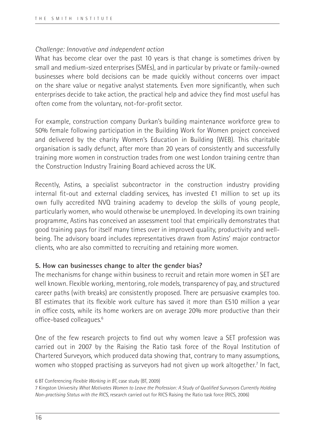#### *Challenge: Innovative and independent action*

What has become clear over the past 10 years is that change is sometimes driven by small and medium-sized enterprises (SMEs), and in particular by private or family-owned businesses where bold decisions can be made quickly without concerns over impact on the share value or negative analyst statements. Even more significantly, when such enterprises decide to take action, the practical help and advice they find most useful has often come from the voluntary, not-for-profit sector.

For example, construction company Durkan's building maintenance workforce grew to 50% female following participation in the Building Work for Women project conceived and delivered by the charity Women's Education in Building (WEB). This charitable organisation is sadly defunct, after more than 20 years of consistently and successfully training more women in construction trades from one west London training centre than the Construction Industry Training Board achieved across the UK.

Recently, Astins, a specialist subcontractor in the construction industry providing internal fit-out and external cladding services, has invested £1 million to set up its own fully accredited NVQ training academy to develop the skills of young people, particularly women, who would otherwise be unemployed. In developing its own training programme, Astins has conceived an assessment tool that empirically demonstrates that good training pays for itself many times over in improved quality, productivity and wellbeing. The advisory board includes representatives drawn from Astins' major contractor clients, who are also committed to recruiting and retaining more women.

#### **5. How can businesses change to alter the gender bias?**

The mechanisms for change within business to recruit and retain more women in SET are well known. Flexible working, mentoring, role models, transparency of pay, and structured career paths (with breaks) are consistently proposed. There are persuasive examples too. BT estimates that its flexible work culture has saved it more than £510 million a year in office costs, while its home workers are on average 20% more productive than their office-based colleagues.<sup>6</sup>

One of the few research projects to find out why women leave a SET profession was carried out in 2007 by the Raising the Ratio task force of the Royal Institution of Chartered Surveyors, which produced data showing that, contrary to many assumptions, women who stopped practising as surveyors had not given up work altogether.<sup>7</sup> In fact,

<sup>6</sup> BT Conferencing *Flexible Working in BT*, case study (BT, 2009)

<sup>7</sup> Kingston University *What Motivates Women to Leave the Profession: A Study of Qualified Surveyors Currently Holding Non-practising Status with the RICS*, research carried out for RICS Raising the Ratio task force (RICS, 2006)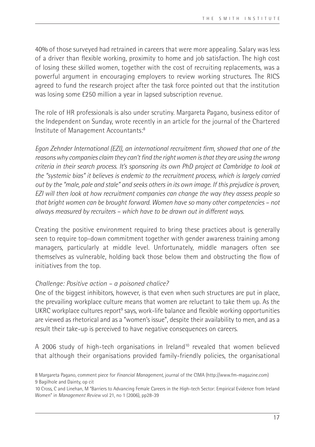40% of those surveyed had retrained in careers that were more appealing. Salary was less of a driver than flexible working, proximity to home and job satisfaction. The high cost of losing these skilled women, together with the cost of recruiting replacements, was a powerful argument in encouraging employers to review working structures. The RICS agreed to fund the research project after the task force pointed out that the institution was losing some £250 million a year in lapsed subscription revenue.

The role of HR professionals is also under scrutiny. Margareta Pagano, business editor of the Independent on Sunday, wrote recently in an article for the journal of the Chartered Institute of Management Accountants:8

*Egon Zehnder International (EZI), an international recruitment firm, showed that one of the reasons why companies claim they can't find the right women is that they are using the wrong criteria in their search process. It's sponsoring its own PhD project at Cambridge to look at the "systemic bias" it believes is endemic to the recruitment process, which is largely carried out by the "male, pale and stale" and seeks others in its own image. If this prejudice is proven, EZI will then look at how recruitment companies can change the way they assess people so that bright women can be brought forward. Women have so many other competencies – not always measured by recruiters – which have to be drawn out in different ways.*

Creating the positive environment required to bring these practices about is generally seen to require top-down commitment together with gender awareness training among managers, particularly at middle level. Unfortunately, middle managers often see themselves as vulnerable, holding back those below them and obstructing the flow of initiatives from the top.

#### *Challenge: Positive action – a poisoned chalice?*

One of the biggest inhibitors, however, is that even when such structures are put in place, the prevailing workplace culture means that women are reluctant to take them up. As the UKRC workplace cultures report<sup>9</sup> says, work-life balance and flexible working opportunities are viewed as rhetorical and as a "women's issue", despite their availability to men, and as a result their take-up is perceived to have negative consequences on careers.

A 2006 study of high-tech organisations in Ireland<sup>10</sup> revealed that women believed that although their organisations provided family-friendly policies, the organisational

<sup>8</sup> Margareta Pagano, comment piece for *Financial Management*, journal of the CIMA (http://www.fm-magazine.com) 9 Bagilhole and Dainty, op cit

<sup>10</sup> Cross, C and Linehan, M "Barriers to Advancing Female Careers in the High-tech Sector: Empirical Evidence from Ireland Women" in *Management Review* vol 21, no 1 (2006), pp28-39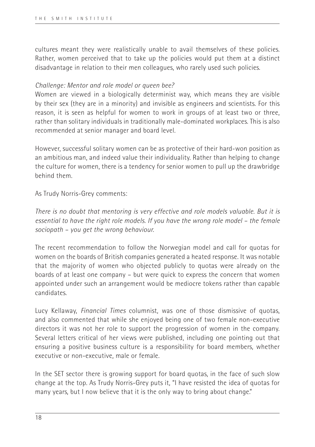cultures meant they were realistically unable to avail themselves of these policies. Rather, women perceived that to take up the policies would put them at a distinct disadvantage in relation to their men colleagues, who rarely used such policies.

#### *Challenge: Mentor and role model or queen bee?*

Women are viewed in a biologically determinist way, which means they are visible by their sex (they are in a minority) and invisible as engineers and scientists. For this reason, it is seen as helpful for women to work in groups of at least two or three, rather than solitary individuals in traditionally male-dominated workplaces. This is also recommended at senior manager and board level.

However, successful solitary women can be as protective of their hard-won position as an ambitious man, and indeed value their individuality. Rather than helping to change the culture for women, there is a tendency for senior women to pull up the drawbridge behind them.

As Trudy Norris-Grey comments:

*There is no doubt that mentoring is very effective and role models valuable. But it is essential to have the right role models. If you have the wrong role model – the female sociopath – you get the wrong behaviour.*

The recent recommendation to follow the Norwegian model and call for quotas for women on the boards of British companies generated a heated response. It was notable that the majority of women who objected publicly to quotas were already on the boards of at least one company – but were quick to express the concern that women appointed under such an arrangement would be mediocre tokens rather than capable candidates.

Lucy Kellaway, *Financial Times* columnist, was one of those dismissive of quotas, and also commented that while she enjoyed being one of two female non-executive directors it was not her role to support the progression of women in the company. Several letters critical of her views were published, including one pointing out that ensuring a positive business culture is a responsibility for board members, whether executive or non-executive, male or female.

In the SET sector there is growing support for board quotas, in the face of such slow change at the top. As Trudy Norris-Grey puts it, "I have resisted the idea of quotas for many years, but I now believe that it is the only way to bring about change."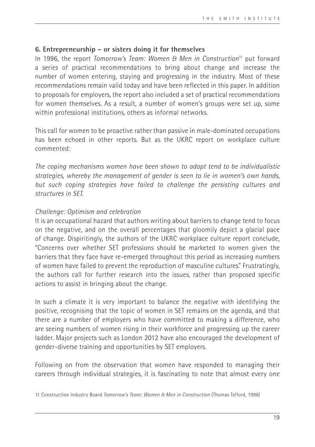#### **6. Entrepreneurship – or sisters doing it for themselves**

In 1996, the report *Tomorrow's Team: Women & Men in Construction*11 put forward a series of practical recommendations to bring about change and increase the number of women entering, staying and progressing in the industry. Most of these recommendations remain valid today and have been reflected in this paper. In addition to proposals for employers, the report also included a set of practical recommendations for women themselves. As a result, a number of women's groups were set up, some within professional institutions, others as informal networks.

This call for women to be proactive rather than passive in male-dominated occupations has been echoed in other reports. But as the UKRC report on workplace culture commented:

*The coping mechanisms women have been shown to adopt tend to be individualistic strategies, whereby the management of gender is seen to lie in women's own hands, but such coping strategies have failed to challenge the persisting cultures and structures in SET.* 

#### *Challenge: Optimism and celebration*

It is an occupational hazard that authors writing about barriers to change tend to focus on the negative, and on the overall percentages that gloomily depict a glacial pace of change. Dispiritingly, the authors of the UKRC workplace culture report conclude, "Concerns over whether SET professions should be marketed to women given the barriers that they face have re-emerged throughout this period as increasing numbers of women have failed to prevent the reproduction of masculine cultures." Frustratingly, the authors call for further research into the issues, rather than proposed specific actions to assist in bringing about the change.

In such a climate it is very important to balance the negative with identifying the positive, recognising that the topic of women in SET remains on the agenda, and that there are a number of employers who have committed to making a difference, who are seeing numbers of women rising in their workforce and progressing up the career ladder. Major projects such as London 2012 have also encouraged the development of gender-diverse training and opportunities by SET employers.

Following on from the observation that women have responded to managing their careers through individual strategies, it is fascinating to note that almost every one

<sup>11</sup> Construction Industry Board *Tomorrow's Team: Women & Men in Construction* (Thomas Telford, 1996)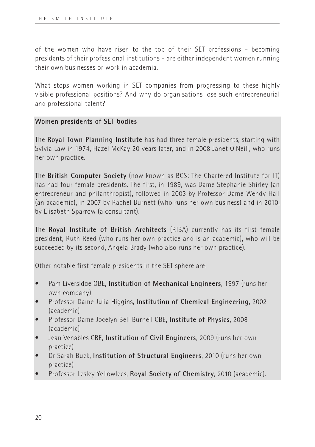of the women who have risen to the top of their SET professions – becoming presidents of their professional institutions – are either independent women running their own businesses or work in academia.

What stops women working in SET companies from progressing to these highly visible professional positions? And why do organisations lose such entrepreneurial and professional talent?

#### **Women presidents of SET bodies**

The **Royal Town Planning Institute** has had three female presidents, starting with Sylvia Law in 1974, Hazel McKay 20 years later, and in 2008 Janet O'Neill, who runs her own practice.

The **British Computer Society** (now known as BCS: The Chartered Institute for IT) has had four female presidents. The first, in 1989, was Dame Stephanie Shirley (an entrepreneur and philanthropist), followed in 2003 by Professor Dame Wendy Hall (an academic), in 2007 by Rachel Burnett (who runs her own business) and in 2010, by Elisabeth Sparrow (a consultant).

The **Royal Institute of British Architects** (RIBA) currently has its first female president, Ruth Reed (who runs her own practice and is an academic), who will be succeeded by its second, Angela Brady (who also runs her own practice).

Other notable first female presidents in the SET sphere are:

- Pam Liversidge OBE, **Institution of Mechanical Engineers**, 1997 (runs her own company)
- Professor Dame Julia Higgins, **Institution of Chemical Engineering**, 2002 (academic)
- Professor Dame Jocelyn Bell Burnell CBE, **Institute of Physics**, 2008 (academic)
- Jean Venables CBE, **Institution of Civil Engineers**, 2009 (runs her own practice)
- Dr Sarah Buck, **Institution of Structural Engineers**, 2010 (runs her own practice)
- Professor Lesley Yellowlees, **Royal Society of Chemistry**, 2010 (academic).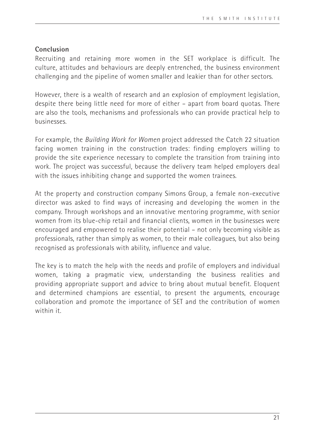#### **Conclusion**

Recruiting and retaining more women in the SET workplace is difficult. The culture, attitudes and behaviours are deeply entrenched, the business environment challenging and the pipeline of women smaller and leakier than for other sectors.

However, there is a wealth of research and an explosion of employment legislation, despite there being little need for more of either – apart from board quotas. There are also the tools, mechanisms and professionals who can provide practical help to businesses.

For example, the *Building Work for Women* project addressed the Catch 22 situation facing women training in the construction trades: finding employers willing to provide the site experience necessary to complete the transition from training into work. The project was successful, because the delivery team helped employers deal with the issues inhibiting change and supported the women trainees.

At the property and construction company Simons Group, a female non-executive director was asked to find ways of increasing and developing the women in the company. Through workshops and an innovative mentoring programme, with senior women from its blue-chip retail and financial clients, women in the businesses were encouraged and empowered to realise their potential – not only becoming visible as professionals, rather than simply as women, to their male colleagues, but also being recognised as professionals with ability, influence and value.

The key is to match the help with the needs and profile of employers and individual women, taking a pragmatic view, understanding the business realities and providing appropriate support and advice to bring about mutual benefit. Eloquent and determined champions are essential, to present the arguments, encourage collaboration and promote the importance of SET and the contribution of women within it.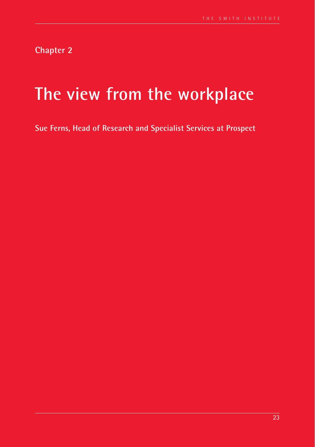**Chapter 2**

# **The view from the workplace**

**Sue Ferns, Head of Research and Specialist Services at Prospect**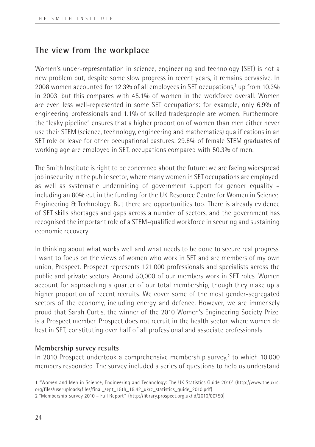## **The view from the workplace**

Women's under-representation in science, engineering and technology (SET) is not a new problem but, despite some slow progress in recent years, it remains pervasive. In 2008 women accounted for 12.3% of all employees in SET occupations,<sup>1</sup> up from 10.3% in 2003, but this compares with 45.1% of women in the workforce overall. Women are even less well-represented in some SET occupations: for example, only 6.9% of engineering professionals and 1.1% of skilled tradespeople are women. Furthermore, the "leaky pipeline" ensures that a higher proportion of women than men either never use their STEM (science, technology, engineering and mathematics) qualifications in an SET role or leave for other occupational pastures: 29.8% of female STEM graduates of working age are employed in SET, occupations compared with 50.3% of men.

The Smith Institute is right to be concerned about the future: we are facing widespread job insecurity in the public sector, where many women in SET occupations are employed, as well as systematic undermining of government support for gender equality – including an 80% cut in the funding for the UK Resource Centre for Women in Science, Engineering & Technology. But there are opportunities too. There is already evidence of SET skills shortages and gaps across a number of sectors, and the government has recognised the important role of a STEM-qualified workforce in securing and sustaining economic recovery.

In thinking about what works well and what needs to be done to secure real progress, I want to focus on the views of women who work in SET and are members of my own union, Prospect. Prospect represents 121,000 professionals and specialists across the public and private sectors. Around 50,000 of our members work in SET roles. Women account for approaching a quarter of our total membership, though they make up a higher proportion of recent recruits. We cover some of the most gender-segregated sectors of the economy, including energy and defence. However, we are immensely proud that Sarah Curtis, the winner of the 2010 Women's Engineering Society Prize, is a Prospect member. Prospect does not recruit in the health sector, where women do best in SET, constituting over half of all professional and associate professionals.

#### **Membership survey results**

In 2010 Prospect undertook a comprehensive membership survey,<sup>2</sup> to which 10,000 members responded. The survey included a series of questions to help us understand

<sup>1 &</sup>quot;Women and Men in Science, Engineering and Technology: The UK Statistics Guide 2010" (http://www.theukrc. org/files/useruploads/files/final\_sept\_15th\_15.42\_ukrc\_statistics\_guide\_2010.pdf)

<sup>2 &</sup>quot;Membership Survey 2010 – Full Report'" (http://library.prospect.org.uk/id/2010/00750)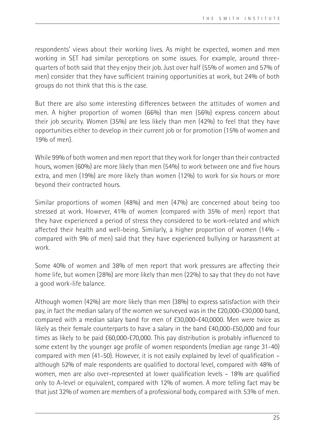respondents' views about their working lives. As might be expected, women and men working in SET had similar perceptions on some issues. For example, around threequarters of both said that they enjoy their job. Just over half (55% of women and 57% of men) consider that they have sufficient training opportunities at work, but 24% of both groups do not think that this is the case.

But there are also some interesting differences between the attitudes of women and men. A higher proportion of women (66%) than men (56%) express concern about their job security. Women (35%) are less likely than men (42%) to feel that they have opportunities either to develop in their current job or for promotion (15% of women and 19% of men).

While 99% of both women and men report that they work for longer than their contracted hours, women (60%) are more likely than men (54%) to work between one and five hours extra, and men (19%) are more likely than women (12%) to work for six hours or more beyond their contracted hours.

Similar proportions of women (48%) and men (47%) are concerned about being too stressed at work. However, 41% of women (compared with 35% of men) report that they have experienced a period of stress they considered to be work-related and which affected their health and well-being. Similarly, a higher proportion of women (14% – compared with 9% of men) said that they have experienced bullying or harassment at work.

Some 40% of women and 38% of men report that work pressures are affecting their home life, but women (28%) are more likely than men (22%) to say that they do not have a good work-life balance.

Although women (42%) are more likely than men (38%) to express satisfaction with their pay, in fact the median salary of the women we surveyed was in the £20,000-£30,000 band, compared with a median salary band for men of £30,000-£40,0000. Men were twice as likely as their female counterparts to have a salary in the band £40,000-£50,000 and four times as likely to be paid £60,000-£70,000. This pay distribution is probably influenced to some extent by the younger age profile of women respondents (median age range 31-40) compared with men (41-50). However, it is not easily explained by level of qualification – although 52% of male respondents are qualified to doctoral level, compared with 48% of women, men are also over-represented at lower qualification levels – 18% are qualified only to A-level or equivalent, compared with 12% of women. A more telling fact may be that just 32% of women are members of a professional body, compared with 53% of men.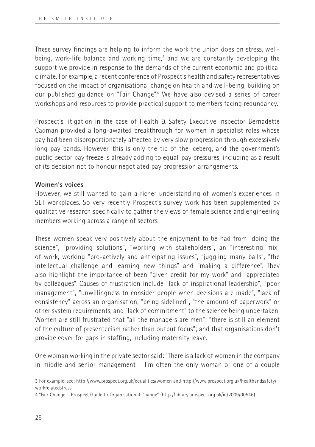These survey findings are helping to inform the work the union does on stress, wellbeing, work-life balance and working time,<sup>3</sup> and we are constantly developing the support we provide in response to the demands of the current economic and political climate. For example, a recent conference of Prospect's health and safety representatives focused on the impact of organisational change on health and well-being, building on our published guidance on "Fair Change".4 We have also devised a series of career workshops and resources to provide practical support to members facing redundancy.

Prospect's litigation in the case of Health & Safety Executive inspector Bernadette Cadman provided a long-awaited breakthrough for women in specialist roles whose pay had been disproportionately affected by very slow progression through excessively long pay bands. However, this is only the tip of the iceberg, and the government's public-sector pay freeze is already adding to equal-pay pressures, including as a result of its decision not to honour negotiated pay progression arrangements.

#### **Women's voices**

However, we still wanted to gain a richer understanding of women's experiences in SET workplaces. So very recently Prospect's survey work has been supplemented by qualitative research specifically to gather the views of female science and engineering members working across a range of sectors.

These women speak very positively about the enjoyment to be had from "doing the science", "providing solutions", "working with stakeholders", an "interesting mix" of work, working "pro-actively and anticipating issues", "juggling many balls", "the intellectual challenge and learning new things" and "making a difference". They also highlight the importance of been "given credit for my work" and "appreciated by colleagues". Causes of frustration include "lack of inspirational leadership", "poor management", "unwillingness to consider people when decisions are made", "lack of consistency" across an organisation, "being sidelined", "the amount of paperwork" or other system requirements, and "lack of commitment" to the science being undertaken. Women are still frustrated that "all the managers are men"; "there is still an element of the culture of presenteeism rather than output focus"; and that organisations don't provide cover for gaps in staffing, including maternity leave.

One woman working in the private sector said: "There is a lack of women in the company in middle and senior management – I'm often the only woman or one of a couple

<sup>3</sup> For example, see: http://www.prospect.org.uk/equalities/women and http://www.prospect.org.uk/healthandsafety/ workrelatedstress

<sup>4 &</sup>quot;Fair Change – Prospect Guide to Organisational Change" (http://library.prospect.org.uk/id/2009/00546)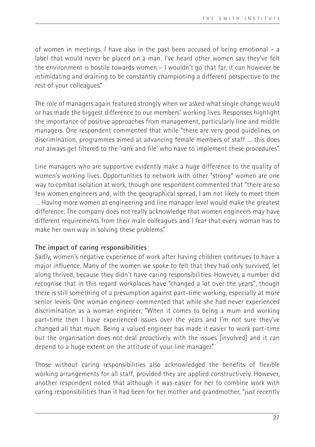of women in meetings. I have also in the past been accused of being emotional – a label that would never be placed on a man. I've heard other women say they've felt the environment is hostile towards women – I wouldn't go that far, it can however be intimidating and draining to be constantly championing a different perspective to the rest of your colleagues."

The role of managers again featured strongly when we asked what single change would or has made the biggest difference to our members' working lives. Responses highlight the importance of positive approaches from management, particularly line and middle managers. One respondent commented that while "there are very good guidelines on discrimination, programmes aimed at advancing female members of staff … this does not always get filtered to the 'rank and file' who have to implement these procedures".

Line managers who are supportive evidently make a huge difference to the quality of women's working lives. Opportunities to network with other "strong" women are one way to combat isolation at work, though one respondent commented that "there are so few women engineers and, with the geographical spread, I am not likely to meet them … Having more women at engineering and line manager level would make the greatest difference. The company does not really acknowledge that women engineers may have different requirements from their male colleagues and I fear that every woman has to make her own way in solving these problems."

#### **The impact of caring responsibilities**

Sadly, women's negative experience of work after having children continues to have a major influence. Many of the women we spoke to felt that they had only survived, let along thrived, because they didn't have caring responsibilities. However, a number did recognise that in this regard workplaces have "changed a lot over the years", though there is still something of a presumption against part-time working, especially at more senior levels. One woman engineer commented that while she had never experienced discrimination as a woman engineer, "When it comes to being a mum and working part-time then I have experienced issues over the years and I'm not sure they've changed all that much. Being a valued engineer has made it easier to work part-time but the organisation does not deal proactively with the issues [involved] and it can depend to a huge extent on the attitude of your line manager."

Those without caring responsibilities also acknowledged the benefits of flexible working arrangements for all staff, provided they are applied constructively. However, another respondent noted that although it was easier for her to combine work with caring responsibilities than it had been for her mother and grandmother, "just recently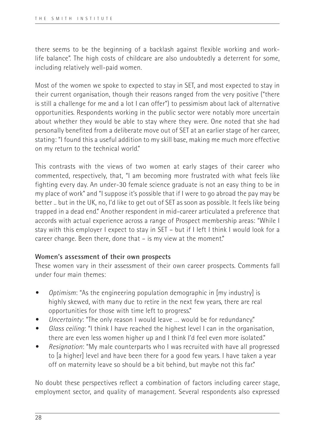there seems to be the beginning of a backlash against flexible working and worklife balance". The high costs of childcare are also undoubtedly a deterrent for some, including relatively well-paid women.

Most of the women we spoke to expected to stay in SET, and most expected to stay in their current organisation, though their reasons ranged from the very positive ("there is still a challenge for me and a lot I can offer") to pessimism about lack of alternative opportunities. Respondents working in the public sector were notably more uncertain about whether they would be able to stay where they were. One noted that she had personally benefited from a deliberate move out of SET at an earlier stage of her career, stating: "I found this a useful addition to my skill base, making me much more effective on my return to the technical world."

This contrasts with the views of two women at early stages of their career who commented, respectively, that, "I am becoming more frustrated with what feels like fighting every day. An under-30 female science graduate is not an easy thing to be in my place of work" and "I suppose it's possible that if I were to go abroad the pay may be better .. but in the UK, no, I'd like to get out of SET as soon as possible. It feels like being trapped in a dead end." Another respondent in mid-career articulated a preference that accords with actual experience across a range of Prospect membership areas: "While I stay with this employer I expect to stay in SET – but if I left I think I would look for a career change. Been there, done that – is my view at the moment."

#### **Women's assessment of their own prospects**

These women vary in their assessment of their own career prospects. Comments fall under four main themes:

- *• Optimism*: "As the engineering population demographic in [my industry] is highly skewed, with many due to retire in the next few years, there are real opportunities for those with time left to progress."
- *• Uncertainty*: "The only reason I would leave … would be for redundancy."
- *• Glass ceiling*: "I think I have reached the highest level I can in the organisation, there are even less women higher up and I think I'd feel even more isolated."
- *• Resignation*: "My male counterparts who I was recruited with have all progressed to [a higher] level and have been there for a good few years. I have taken a year off on maternity leave so should be a bit behind, but maybe not this far."

No doubt these perspectives reflect a combination of factors including career stage, employment sector, and quality of management. Several respondents also expressed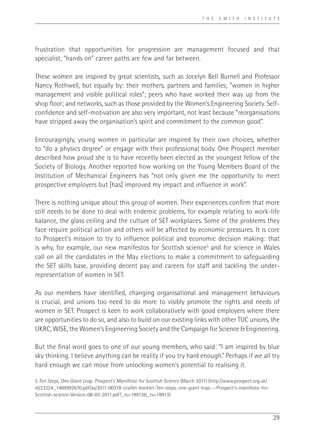frustration that opportunities for progression are management focused and that specialist, "hands on" career paths are few and far between.

These women are inspired by great scientists, such as Jocelyn Bell Burnell and Professor Nancy Rothwell, but equally by: their mothers, partners and families; "women in higher management and visible political roles"; peers who have worked their way up from the shop floor; and networks, such as those provided by the Women's Engineering Society. Selfconfidence and self-motivation are also very important, not least because "reorganisations have stripped away the organisation's spirit and commitment to the common good".

Encouragingly, young women in particular are inspired by their own choices, whether to "do a physics degree" or engage with their professional body. One Prospect member described how proud she is to have recently been elected as the youngest fellow of the Society of Biology. Another reported how working on the Young Members Board of the Institution of Mechanical Engineers has "not only given me the opportunity to meet prospective employers but [has] improved my impact and influence in work".

There is nothing unique about this group of women. Their experiences confirm that more still needs to be done to deal with endemic problems, for example relating to work-life balance, the glass ceiling and the culture of SET workplaces. Some of the problems they face require political action and others will be affected by economic pressures. It is core to Prospect's mission to try to influence political and economic decision making: that is why, for example, our new manifestos for Scottish science<sup>5</sup> and for science in Wales call on all the candidates in the May elections to make a commitment to safeguarding the SET skills base, providing decent pay and careers for staff and tackling the underrepresentation of women in SET.

As our members have identified, changing organisational and management behaviours is crucial, and unions too need to do more to visibly promote the rights and needs of women in SET. Prospect is keen to work collaboratively with good employers where there are opportunities to do so, and also to build on our existing links with other TUC unions, the UKRC, WISE, the Women's Engineering Society and the Campaign for Science & Engineering.

But the final word goes to one of our young members, who said: "I am inspired by blue sky thinking. I believe anything can be reality if you try hard enough." Perhaps if we all try hard enough we can move from unlocking women's potential to realising it.

<sup>5</sup> *Ten Steps, One Giant Leap. Prospect's Manifesto for Scottish Science* (March 2011) (http://www.prospect.org.uk/ dl/23224\_1469992670.pdf/as/2011-00318-Leaflet-booklet-Ten-steps,-one-giant-leap-–-Prospect's-manifesto-for-Scottish-science-Version-08-03-2011.pdf?\_ts=19913&\_ts=19913)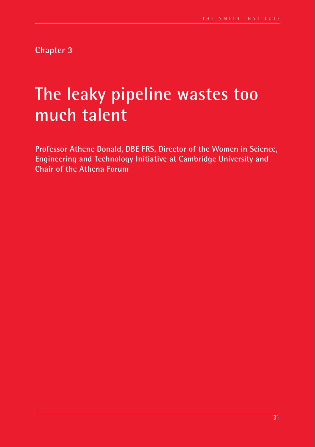**Chapter 3**

# **The leaky pipeline wastes too much talent**

**Professor Athene Donald, DBE FRS, Director of the Women in Science, Engineering and Technology Initiative at Cambridge University and Chair of the Athena Forum**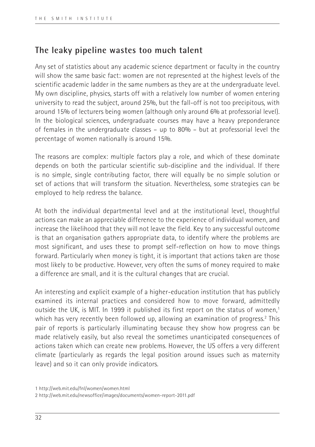## **The leaky pipeline wastes too much talent**

Any set of statistics about any academic science department or faculty in the country will show the same basic fact: women are not represented at the highest levels of the scientific academic ladder in the same numbers as they are at the undergraduate level. My own discipline, physics, starts off with a relatively low number of women entering university to read the subject, around 25%, but the fall-off is not too precipitous, with around 15% of lecturers being women (although only around 6% at professorial level). In the biological sciences, undergraduate courses may have a heavy preponderance of females in the undergraduate classes – up to 80% – but at professorial level the percentage of women nationally is around 15%.

The reasons are complex: multiple factors play a role, and which of these dominate depends on both the particular scientific sub-discipline and the individual. If there is no simple, single contributing factor, there will equally be no simple solution or set of actions that will transform the situation. Nevertheless, some strategies can be employed to help redress the balance.

At both the individual departmental level and at the institutional level, thoughtful actions can make an appreciable difference to the experience of individual women, and increase the likelihood that they will not leave the field. Key to any successful outcome is that an organisation gathers appropriate data, to identify where the problems are most significant, and uses these to prompt self-reflection on how to move things forward. Particularly when money is tight, it is important that actions taken are those most likely to be productive. However, very often the sums of money required to make a difference are small, and it is the cultural changes that are crucial.

An interesting and explicit example of a higher-education institution that has publicly examined its internal practices and considered how to move forward, admittedly outside the UK, is MIT. In 1999 it published its first report on the status of women,<sup>1</sup> which has very recently been followed up, allowing an examination of progress.<sup>2</sup> This pair of reports is particularly illuminating because they show how progress can be made relatively easily, but also reveal the sometimes unanticipated consequences of actions taken which can create new problems. However, the US offers a very different climate (particularly as regards the legal position around issues such as maternity leave) and so it can only provide indicators.

<sup>1</sup> http://web.mit.edu/fnl/women/women.html

<sup>2</sup> http://web.mit.edu/newsoffice/images/documents/women-report-2011.pdf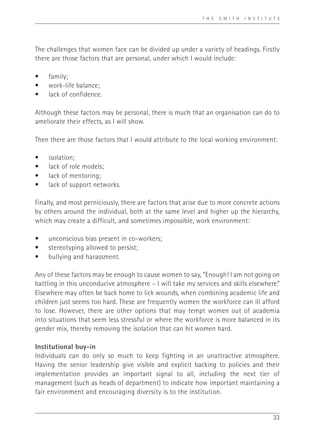The challenges that women face can be divided up under a variety of headings. Firstly there are those factors that are personal, under which I would include:

- family;
- work-life balance:
- lack of confidence.

Although these factors may be personal, there is much that an organisation can do to ameliorate their effects, as I will show.

Then there are those factors that I would attribute to the local working environment:

- isolation;
- lack of role models:
- lack of mentoring:
- lack of support networks.

Finally, and most perniciously, there are factors that arise due to more concrete actions by others around the individual, both at the same level and higher up the hierarchy, which may create a difficult, and sometimes impossible, work environment:

- unconscious bias present in co-workers;
- stereotyping allowed to persist;
- bullying and harassment.

Any of these factors may be enough to cause women to say, "Enough! I am not going on battling in this unconducive atmosphere – I will take my services and skills elsewhere." Elsewhere may often be back home to lick wounds, when combining academic life and children just seems too hard. These are frequently women the workforce can ill afford to lose. However, there are other options that may tempt women out of academia into situations that seem less stressful or where the workforce is more balanced in its gender mix, thereby removing the isolation that can hit women hard.

#### **Institutional buy-in**

Individuals can do only so much to keep fighting in an unattractive atmosphere. Having the senior leadership give visible and explicit backing to policies and their implementation provides an important signal to all, including the next tier of management (such as heads of department) to indicate how important maintaining a fair environment and encouraging diversity is to the institution.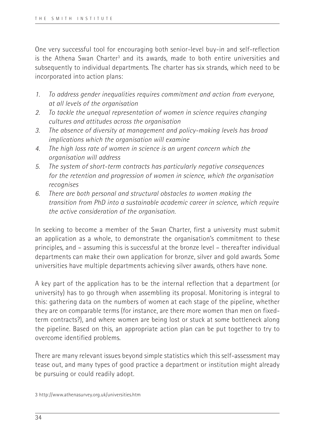One very successful tool for encouraging both senior-level buy-in and self-reflection is the Athena Swan Charter<sup>3</sup> and its awards, made to both entire universities and subsequently to individual departments. The charter has six strands, which need to be incorporated into action plans:

- *1. To address gender inequalities requires commitment and action from everyone, at all levels of the organisation*
- *2. To tackle the unequal representation of women in science requires changing cultures and attitudes across the organisation*
- *3. The absence of diversity at management and policy-making levels has broad implications which the organisation will examine*
- *4. The high loss rate of women in science is an urgent concern which the organisation will address*
- *5. The system of short-term contracts has particularly negative consequences for the retention and progression of women in science, which the organisation recognises*
- *6. There are both personal and structural obstacles to women making the transition from PhD into a sustainable academic career in science, which require the active consideration of the organisation.*

In seeking to become a member of the Swan Charter, first a university must submit an application as a whole, to demonstrate the organisation's commitment to these principles, and – assuming this is successful at the bronze level – thereafter individual departments can make their own application for bronze, silver and gold awards. Some universities have multiple departments achieving silver awards, others have none.

A key part of the application has to be the internal reflection that a department (or university) has to go through when assembling its proposal. Monitoring is integral to this: gathering data on the numbers of women at each stage of the pipeline, whether they are on comparable terms (for instance, are there more women than men on fixedterm contracts?), and where women are being lost or stuck at some bottleneck along the pipeline. Based on this, an appropriate action plan can be put together to try to overcome identified problems.

There are many relevant issues beyond simple statistics which this self-assessment may tease out, and many types of good practice a department or institution might already be pursuing or could readily adopt.

<sup>3</sup> http://www.athenasurvey.org.uk/universities.htm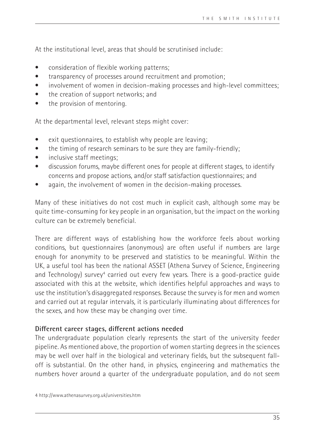At the institutional level, areas that should be scrutinised include:

- consideration of flexible working patterns;
- transparency of processes around recruitment and promotion:
- involvement of women in decision-making processes and high-level committees;
- the creation of support networks; and
- the provision of mentoring.

At the departmental level, relevant steps might cover:

- exit questionnaires, to establish why people are leaving;
- the timing of research seminars to be sure they are family-friendly;
- inclusive staff meetings:
- discussion forums, maybe different ones for people at different stages, to identify concerns and propose actions, and/or staff satisfaction questionnaires; and
- again, the involvement of women in the decision-making processes.

Many of these initiatives do not cost much in explicit cash, although some may be quite time-consuming for key people in an organisation, but the impact on the working culture can be extremely beneficial.

There are different ways of establishing how the workforce feels about working conditions, but questionnaires (anonymous) are often useful if numbers are large enough for anonymity to be preserved and statistics to be meaningful. Within the UK, a useful tool has been the national ASSET (Athena Survey of Science, Engineering and Technology) survey<sup>4</sup> carried out every few years. There is a good-practice guide associated with this at the website, which identifies helpful approaches and ways to use the institution's disaggregated responses. Because the survey is for men and women and carried out at regular intervals, it is particularly illuminating about differences for the sexes, and how these may be changing over time.

#### **Different career stages, different actions needed**

The undergraduate population clearly represents the start of the university feeder pipeline. As mentioned above, the proportion of women starting degrees in the sciences may be well over half in the biological and veterinary fields, but the subsequent falloff is substantial. On the other hand, in physics, engineering and mathematics the numbers hover around a quarter of the undergraduate population, and do not seem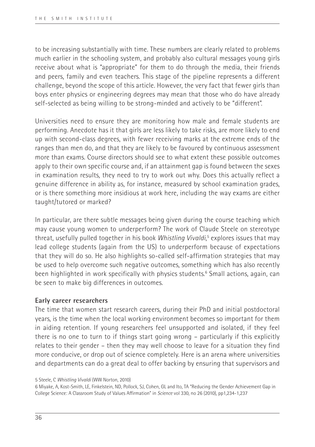to be increasing substantially with time. These numbers are clearly related to problems much earlier in the schooling system, and probably also cultural messages young girls receive about what is "appropriate" for them to do through the media, their friends and peers, family and even teachers. This stage of the pipeline represents a different challenge, beyond the scope of this article. However, the very fact that fewer girls than boys enter physics or engineering degrees may mean that those who do have already self-selected as being willing to be strong-minded and actively to be "different".

Universities need to ensure they are monitoring how male and female students are performing. Anecdote has it that girls are less likely to take risks, are more likely to end up with second-class degrees, with fewer receiving marks at the extreme ends of the ranges than men do, and that they are likely to be favoured by continuous assessment more than exams. Course directors should see to what extent these possible outcomes apply to their own specific course and, if an attainment gap is found between the sexes in examination results, they need to try to work out why. Does this actually reflect a genuine difference in ability as, for instance, measured by school examination grades, or is there something more insidious at work here, including the way exams are either taught/tutored or marked?

In particular, are there subtle messages being given during the course teaching which may cause young women to underperform? The work of Claude Steele on stereotype threat, usefully pulled together in his book *Whistling Vivaldi*, 5 explores issues that may lead college students (again from the US) to underperform because of expectations that they will do so. He also highlights so-called self-affirmation strategies that may be used to help overcome such negative outcomes, something which has also recently been highlighted in work specifically with physics students.6 Small actions, again, can be seen to make big differences in outcomes.

## **Early career researchers**

The time that women start research careers, during their PhD and initial postdoctoral years, is the time when the local working environment becomes so important for them in aiding retention. If young researchers feel unsupported and isolated, if they feel there is no one to turn to if things start going wrong – particularly if this explicitly relates to their gender – then they may well choose to leave for a situation they find more conducive, or drop out of science completely. Here is an arena where universities and departments can do a great deal to offer backing by ensuring that supervisors and

<sup>5</sup> Steele, C *Whistling Vivaldi* (WW Norton, 2010)

<sup>6</sup> Miyake, A, Kost-Smith, LE, Finkelstein, ND, Pollock, SJ, Cohen, GL and Ito, TA "Reducing the Gender Achievement Gap in College Science: A Classroom Study of Values Affirmation" in *Science* vol 330, no 26 (2010), pp1,234-1,237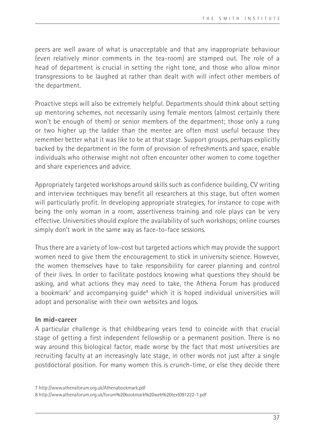peers are well aware of what is unacceptable and that any inappropriate behaviour (even relatively minor comments in the tea-room) are stamped out. The role of a head of department is crucial in setting the right tone, and those who allow minor transgressions to be laughed at rather than dealt with will infect other members of the department.

Proactive steps will also be extremely helpful. Departments should think about setting up mentoring schemes, not necessarily using female mentors (almost certainly there won't be enough of them) or senior members of the department; those only a rung or two higher up the ladder than the mentee are often most useful because they remember better what it was like to be at that stage. Support groups, perhaps explicitly backed by the department in the form of provision of refreshments and space, enable individuals who otherwise might not often encounter other women to come together and share experiences and advice.

Appropriately targeted workshops around skills such as confidence building, CV writing and interview techniques may benefit all researchers at this stage, but often women will particularly profit. In developing appropriate strategies, for instance to cope with being the only woman in a room, assertiveness training and role plays can be very effective. Universities should explore the availability of such workshops; online courses simply don't work in the same way as face-to-face sessions.

Thus there are a variety of low-cost but targeted actions which may provide the support women need to give them the encouragement to stick in university science. However, the women themselves have to take responsibility for career planning and control of their lives. In order to facilitate postdocs knowing what questions they should be asking, and what actions they may need to take, the Athena Forum has produced a bookmark<sup>7</sup> and accompanying guide<sup>8</sup> which it is hoped individual universities will adopt and personalise with their own websites and logos.

## **In mid-career**

A particular challenge is that childbearing years tend to coincide with that crucial stage of getting a first independent fellowship or a permanent position. There is no way around this biological factor, made worse by the fact that most universities are recruiting faculty at an increasingly late stage, in other words not just after a single postdoctoral position. For many women this is crunch-time, or else they decide there

<sup>7</sup> http://www.athenaforum.org.uk/Athenabookmark.pdf 8 http://www.athenaforum.org.uk/forum%20bookmark%20web%20text091222-1.pdf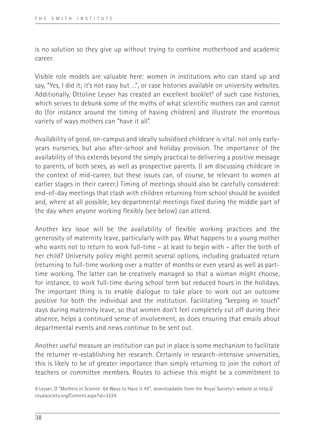is no solution so they give up without trying to combine motherhood and academic career.

Visible role models are valuable here: women in institutions who can stand up and say, "Yes, I did it; it's not easy but …", or case histories available on university websites. Additionally, Ottoline Leyser has created an excellent booklet<sup>9</sup> of such case histories, which serves to debunk some of the myths of what scientific mothers can and cannot do (for instance around the timing of having children) and illustrate the enormous variety of ways mothers can "have it all".

Availability of good, on-campus and ideally subsidised childcare is vital: not only earlyyears nurseries, but also after-school and holiday provision. The importance of the availability of this extends beyond the simply practical to delivering a positive message to parents, of both sexes, as well as prospective parents. (I am discussing childcare in the context of mid-career, but these issues can, of course, be relevant to women at earlier stages in their career.) Timing of meetings should also be carefully considered: end-of-day meetings that clash with children returning from school should be avoided and, where at all possible, key departmental meetings fixed during the middle part of the day when anyone working flexibly (see below) can attend.

Another key issue will be the availability of flexible working practices and the generosity of maternity leave, particularly with pay. What happens to a young mother who wants not to return to work full-time – at least to begin with – after the birth of her child? University policy might permit several options, including graduated return (returning to full-time working over a matter of months or even years) as well as parttime working. The latter can be creatively managed so that a woman might choose, for instance, to work full-time during school term but reduced hours in the holidays. The important thing is to enable dialogue to take place to work out an outcome positive for both the individual and the institution. Facilitating "keeping in touch" days during maternity leave, so that women don't feel completely cut off during their absence, helps a continued sense of involvement, as does ensuring that emails about departmental events and news continue to be sent out.

Another useful measure an institution can put in place is some mechanism to facilitate the returner re-establishing her research. Certainly in research-intensive universities, this is likely to be of greater importance than simply returning to join the cohort of teachers or committee members. Routes to achieve this might be a commitment to

<sup>9</sup> Leyser, O "Mothers in Science: 64 Ways to Have it All", downloadable from the Royal Society's website at http:// royalsociety.org/Content.aspx?id=3224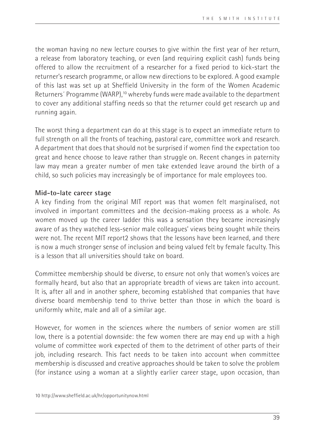the woman having no new lecture courses to give within the first year of her return, a release from laboratory teaching, or even (and requiring explicit cash) funds being offered to allow the recruitment of a researcher for a fixed period to kick-start the returner's research programme, or allow new directions to be explored. A good example of this last was set up at Sheffield University in the form of the Women Academic Returners' Programme (WARP),<sup>10</sup> whereby funds were made available to the department to cover any additional staffing needs so that the returner could get research up and running again.

The worst thing a department can do at this stage is to expect an immediate return to full strength on all the fronts of teaching, pastoral care, committee work and research. A department that does that should not be surprised if women find the expectation too great and hence choose to leave rather than struggle on. Recent changes in paternity law may mean a greater number of men take extended leave around the birth of a child, so such policies may increasingly be of importance for male employees too.

## **Mid-to-late career stage**

A key finding from the original MIT report was that women felt marginalised, not involved in important committees and the decision-making process as a whole. As women moved up the career ladder this was a sensation they became increasingly aware of as they watched less-senior male colleagues' views being sought while theirs were not. The recent MIT report2 shows that the lessons have been learned, and there is now a much stronger sense of inclusion and being valued felt by female faculty. This is a lesson that all universities should take on board.

Committee membership should be diverse, to ensure not only that women's voices are formally heard, but also that an appropriate breadth of views are taken into account. It is, after all and in another sphere, becoming established that companies that have diverse board membership tend to thrive better than those in which the board is uniformly white, male and all of a similar age.

However, for women in the sciences where the numbers of senior women are still low, there is a potential downside: the few women there are may end up with a high volume of committee work expected of them to the detriment of other parts of their job, including research. This fact needs to be taken into account when committee membership is discussed and creative approaches should be taken to solve the problem (for instance using a woman at a slightly earlier career stage, upon occasion, than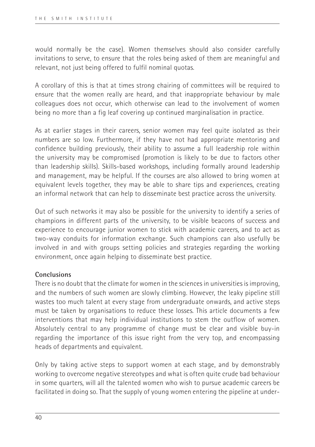would normally be the case). Women themselves should also consider carefully invitations to serve, to ensure that the roles being asked of them are meaningful and relevant, not just being offered to fulfil nominal quotas.

A corollary of this is that at times strong chairing of committees will be required to ensure that the women really are heard, and that inappropriate behaviour by male colleagues does not occur, which otherwise can lead to the involvement of women being no more than a fig leaf covering up continued marginalisation in practice.

As at earlier stages in their careers, senior women may feel quite isolated as their numbers are so low. Furthermore, if they have not had appropriate mentoring and confidence building previously, their ability to assume a full leadership role within the university may be compromised (promotion is likely to be due to factors other than leadership skills). Skills-based workshops, including formally around leadership and management, may be helpful. If the courses are also allowed to bring women at equivalent levels together, they may be able to share tips and experiences, creating an informal network that can help to disseminate best practice across the university.

Out of such networks it may also be possible for the university to identify a series of champions in different parts of the university, to be visible beacons of success and experience to encourage junior women to stick with academic careers, and to act as two-way conduits for information exchange. Such champions can also usefully be involved in and with groups setting policies and strategies regarding the working environment, once again helping to disseminate best practice.

## **Conclusions**

There is no doubt that the climate for women in the sciences in universities is improving, and the numbers of such women are slowly climbing. However, the leaky pipeline still wastes too much talent at every stage from undergraduate onwards, and active steps must be taken by organisations to reduce these losses. This article documents a few interventions that may help individual institutions to stem the outflow of women. Absolutely central to any programme of change must be clear and visible buy-in regarding the importance of this issue right from the very top, and encompassing heads of departments and equivalent.

Only by taking active steps to support women at each stage, and by demonstrably working to overcome negative stereotypes and what is often quite crude bad behaviour in some quarters, will all the talented women who wish to pursue academic careers be facilitated in doing so. That the supply of young women entering the pipeline at under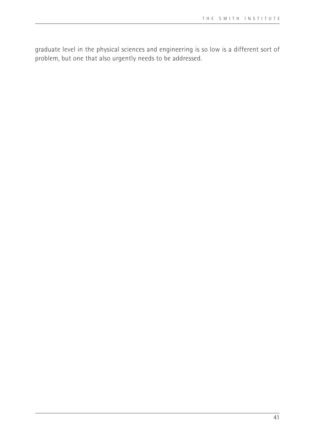graduate level in the physical sciences and engineering is so low is a different sort of problem, but one that also urgently needs to be addressed.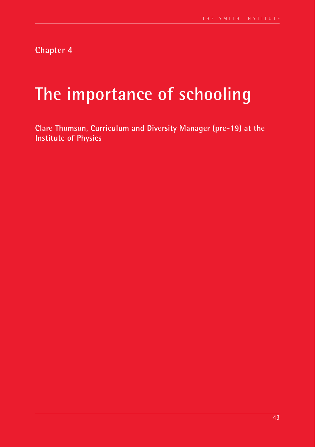**Chapter 4**

# **The importance of schooling**

**Clare Thomson, Curriculum and Diversity Manager (pre-19) at the Institute of Physics**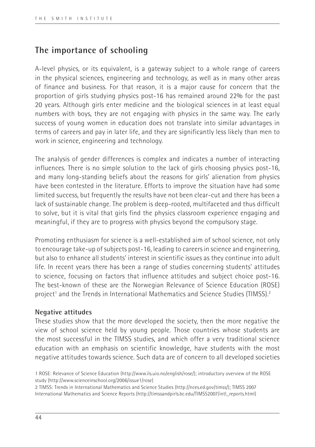## **The importance of schooling**

A-level physics, or its equivalent, is a gateway subject to a whole range of careers in the physical sciences, engineering and technology, as well as in many other areas of finance and business. For that reason, it is a major cause for concern that the proportion of girls studying physics post-16 has remained around 22% for the past 20 years. Although girls enter medicine and the biological sciences in at least equal numbers with boys, they are not engaging with physics in the same way. The early success of young women in education does not translate into similar advantages in terms of careers and pay in later life, and they are significantly less likely than men to work in science, engineering and technology.

The analysis of gender differences is complex and indicates a number of interacting influences. There is no simple solution to the lack of girls choosing physics post-16, and many long-standing beliefs about the reasons for girls' alienation from physics have been contested in the literature. Efforts to improve the situation have had some limited success, but frequently the results have not been clear-cut and there has been a lack of sustainable change. The problem is deep-rooted, multifaceted and thus difficult to solve, but it is vital that girls find the physics classroom experience engaging and meaningful, if they are to progress with physics beyond the compulsory stage.

Promoting enthusiasm for science is a well-established aim of school science, not only to encourage take-up of subjects post-16, leading to careers in science and engineering, but also to enhance all students' interest in scientific issues as they continue into adult life. In recent years there has been a range of studies concerning students' attitudes to science, focusing on factors that influence attitudes and subject choice post-16. The best-known of these are the Norwegian Relevance of Science Education (ROSE) project<sup>1</sup> and the Trends in International Mathematics and Science Studies (TIMSS).<sup>2</sup>

#### **Negative attitudes**

These studies show that the more developed the society, then the more negative the view of school science held by young people. Those countries whose students are the most successful in the TIMSS studies, and which offer a very traditional science education with an emphasis on scientific knowledge, have students with the most negative attitudes towards science. Such data are of concern to all developed societies

2 TIMSS: Trends in International Mathematics and Science Studies (http://nces.ed.gov/timss/); TIMSS 2007 International Mathematics and Science Reports (http://timssandpirls.bc.edu/TIMSS2007/intl\_reports.html)

<sup>1</sup> ROSE: Relevance of Science Education (http://www.ils.uio.no/english/rose/); introductory overview of the ROSE study (http://www.scienceinschool.org/2006/issue1/rose)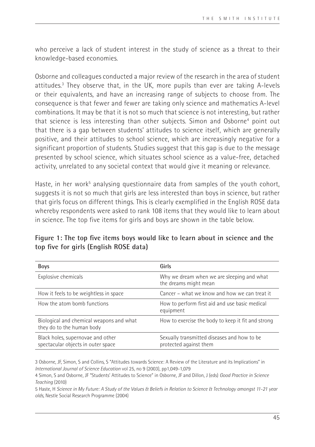who perceive a lack of student interest in the study of science as a threat to their knowledge-based economies.

Osborne and colleagues conducted a major review of the research in the area of student attitudes.3 They observe that, in the UK, more pupils than ever are taking A-levels or their equivalents, and have an increasing range of subjects to choose from. The consequence is that fewer and fewer are taking only science and mathematics A-level combinations. It may be that it is not so much that science is not interesting, but rather that science is less interesting than other subjects. Simon and Osborne4 point out that there is a gap between students' attitudes to science itself, which are generally positive, and their attitudes to school science, which are increasingly negative for a significant proportion of students. Studies suggest that this gap is due to the message presented by school science, which situates school science as a value-free, detached activity, unrelated to any societal context that would give it meaning or relevance.

Haste, in her work<sup>5</sup> analysing questionnaire data from samples of the youth cohort, suggests it is not so much that girls are less interested than boys in science, but rather that girls focus on different things. This is clearly exemplified in the English ROSE data whereby respondents were asked to rank 108 items that they would like to learn about in science. The top five items for girls and boys are shown in the table below.

| <b>Boys</b>                                                             | Girls                                                                 |
|-------------------------------------------------------------------------|-----------------------------------------------------------------------|
| Explosive chemicals                                                     | Why we dream when we are sleeping and what<br>the dreams might mean   |
| How it feels to be weightless in space                                  | Cancer – what we know and how we can treat it                         |
| How the atom bomb functions                                             | How to perform first aid and use basic medical<br>equipment           |
| Biological and chemical weapons and what<br>they do to the human body   | How to exercise the body to keep it fit and strong                    |
| Black holes, supernovae and other<br>spectacular objects in outer space | Sexually transmitted diseases and how to be<br>protected against them |

**Figure 1: The top five items boys would like to learn about in science and the top five for girls (English ROSE data)**

3 Osborne, JF, Simon, S and Collins, S "Attitudes towards Science: A Review of the Literature and its Implications" in *International Journal of Science Education* vol 25, no 9 (2003), pp1,049-1,079

5 Haste, H *Science in My Future: A Study of the Values & Beliefs in Relation to Science & Technology amongst 11-21 year olds*, Nestle Social Research Programme (2004)

<sup>4</sup> Simon, S and Osborne, JF "Students' Attitudes to Science" in Osborne, JF and Dillon, J (eds) *Good Practice in Science Teaching* (2010)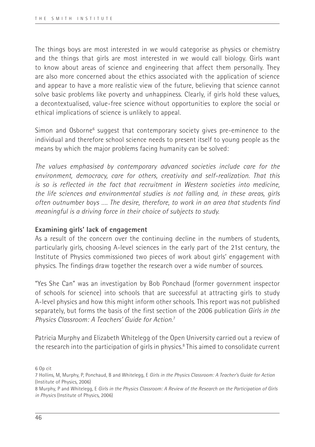The things boys are most interested in we would categorise as physics or chemistry and the things that girls are most interested in we would call biology. Girls want to know about areas of science and engineering that affect them personally. They are also more concerned about the ethics associated with the application of science and appear to have a more realistic view of the future, believing that science cannot solve basic problems like poverty and unhappiness. Clearly, if girls hold these values, a decontextualised, value-free science without opportunities to explore the social or ethical implications of science is unlikely to appeal.

Simon and Osborne<sup>6</sup> suggest that contemporary society gives pre-eminence to the individual and therefore school science needs to present itself to young people as the means by which the major problems facing humanity can be solved:

*The values emphasised by contemporary advanced societies include care for the environment, democracy, care for others, creativity and self-realization. That this is so is reflected in the fact that recruitment in Western societies into medicine, the life sciences and environmental studies is not falling and, in these areas, girls often outnumber boys …. The desire, therefore, to work in an area that students find meaningful is a driving force in their choice of subjects to study.*

## **Examining girls' lack of engagement**

As a result of the concern over the continuing decline in the numbers of students, particularly girls, choosing A-level sciences in the early part of the 21st century, the Institute of Physics commissioned two pieces of work about girls' engagement with physics. The findings draw together the research over a wide number of sources.

"Yes She Can" was an investigation by Bob Ponchaud (former government inspector of schools for science) into schools that are successful at attracting girls to study A-level physics and how this might inform other schools. This report was not published separately, but forms the basis of the first section of the 2006 publication *Girls in the Physics Classroom: A Teachers' Guide for Action*. 7

Patricia Murphy and Elizabeth Whitelegg of the Open University carried out a review of the research into the participation of girls in physics.<sup>8</sup> This aimed to consolidate current

6 Op cit

<sup>7</sup> Hollins, M, Murphy, P, Ponchaud, B and Whitelegg, E *Girls in the Physics Classroom: A Teacher's Guide for Action*  (Institute of Physics, 2006)

<sup>8</sup> Murphy, P and Whitelegg, E *Girls in the Physics Classroom: A Review of the Research on the Participation of Girls in Physics* (Institute of Physics, 2006)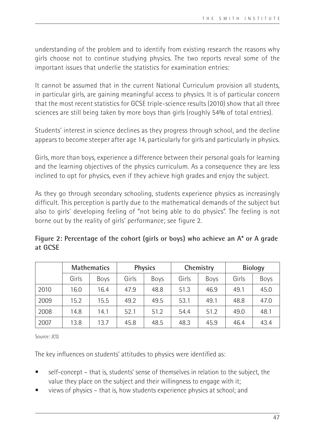understanding of the problem and to identify from existing research the reasons why girls choose not to continue studying physics. The two reports reveal some of the important issues that underlie the statistics for examination entries:

It cannot be assumed that in the current National Curriculum provision all students, in particular girls, are gaining meaningful access to physics. It is of particular concern that the most recent statistics for GCSE triple-science results (2010) show that all three sciences are still being taken by more boys than girls (roughly 54% of total entries).

Students' interest in science declines as they progress through school, and the decline appears to become steeper after age 14, particularly for girls and particularly in physics.

Girls, more than boys, experience a difference between their personal goals for learning and the learning objectives of the physics curriculum. As a consequence they are less inclined to opt for physics, even if they achieve high grades and enjoy the subject.

As they go through secondary schooling, students experience physics as increasingly difficult. This perception is partly due to the mathematical demands of the subject but also to girls' developing feeling of "not being able to do physics". The feeling is not borne out by the reality of girls' performance; see figure 2.

**Figure 2: Percentage of the cohort (girls or boys) who achieve an A\* or A grade at GCSE**

|      | <b>Mathematics</b> |             | <b>Physics</b> |             | Chemistry |             | <b>Biology</b> |      |
|------|--------------------|-------------|----------------|-------------|-----------|-------------|----------------|------|
|      | Girls              | <b>Boys</b> | Girls          | <b>Boys</b> | Girls     | <b>Boys</b> | Girls          | Boys |
| 2010 | 16.0               | 16.4        | 47.9           | 48.8        | 51.3      | 46.9        | 49.1           | 45.0 |
| 2009 | 15.2               | 15.5        | 49.2           | 49.5        | 53.1      | 49.1        | 48.8           | 47.0 |
| 2008 | 14.8               | 14.1        | 52.1           | 51.2        | 54.4      | 51.2        | 49.0           | 48.1 |
| 2007 | 13.8               | 13.7        | 45.8           | 48.5        | 48.3      | 45.9        | 46.4           | 43.4 |

Source: JCQ

The key influences on students' attitudes to physics were identified as:

- self-concept that is, students' sense of themselves in relation to the subject, the value they place on the subject and their willingness to engage with it;
- views of physics that is, how students experience physics at school; and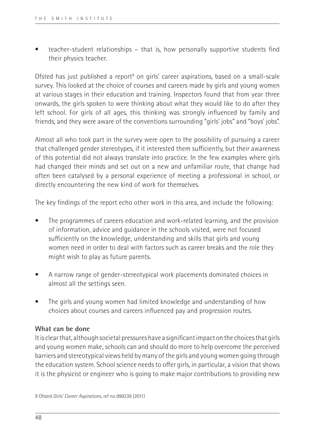• teacher-student relationships – that is, how personally supportive students find their physics teacher.

Ofsted has just published a report<sup>9</sup> on girls' career aspirations, based on a small-scale survey. This looked at the choice of courses and careers made by girls and young women at various stages in their education and training. Inspectors found that from year three onwards, the girls spoken to were thinking about what they would like to do after they left school. For girls of all ages, this thinking was strongly influenced by family and friends, and they were aware of the conventions surrounding "girls' jobs" and "boys' jobs".

Almost all who took part in the survey were open to the possibility of pursuing a career that challenged gender stereotypes, if it interested them sufficiently, but their awareness of this potential did not always translate into practice. In the few examples where girls had changed their minds and set out on a new and unfamiliar route, that change had often been catalysed by a personal experience of meeting a professional in school, or directly encountering the new kind of work for themselves.

The key findings of the report echo other work in this area, and include the following:

- The programmes of careers education and work-related learning, and the provision of information, advice and guidance in the schools visited, were not focused sufficiently on the knowledge, understanding and skills that girls and young women need in order to deal with factors such as career breaks and the role they might wish to play as future parents.
- A narrow range of gender-stereotypical work placements dominated choices in almost all the settings seen.
- The girls and young women had limited knowledge and understanding of how choices about courses and careers influenced pay and progression routes.

## **What can be done**

It is clear that, although societal pressures have a significant impact on the choices that girls and young women make, schools can and should do more to help overcome the perceived barriers and stereotypical views held by many of the girls and young women going through the education system. School science needs to offer girls, in particular, a vision that shows it is the physicist or engineer who is going to make major contributions to providing new

9 Ofsted *Girls' Career Aspirations*, ref no 090239 (2011)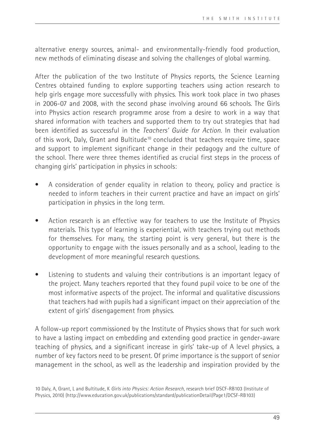alternative energy sources, animal- and environmentally-friendly food production, new methods of eliminating disease and solving the challenges of global warming.

After the publication of the two Institute of Physics reports, the Science Learning Centres obtained funding to explore supporting teachers using action research to help girls engage more successfully with physics. This work took place in two phases in 2006-07 and 2008, with the second phase involving around 66 schools. The Girls into Physics action research programme arose from a desire to work in a way that shared information with teachers and supported them to try out strategies that had been identified as successful in the *Teachers' Guide for Action*. In their evaluation of this work, Daly, Grant and Bultitude10 concluded that teachers require time, space and support to implement significant change in their pedagogy and the culture of the school. There were three themes identified as crucial first steps in the process of changing girls' participation in physics in schools:

- A consideration of gender equality in relation to theory, policy and practice is needed to inform teachers in their current practice and have an impact on girls' participation in physics in the long term.
- Action research is an effective way for teachers to use the Institute of Physics materials. This type of learning is experiential, with teachers trying out methods for themselves. For many, the starting point is very general, but there is the opportunity to engage with the issues personally and as a school, leading to the development of more meaningful research questions.
- Listening to students and valuing their contributions is an important legacy of the project. Many teachers reported that they found pupil voice to be one of the most informative aspects of the project. The informal and qualitative discussions that teachers had with pupils had a significant impact on their appreciation of the extent of girls' disengagement from physics.

A follow-up report commissioned by the Institute of Physics shows that for such work to have a lasting impact on embedding and extending good practice in gender-aware teaching of physics, and a significant increase in girls' take-up of A level physics, a number of key factors need to be present. Of prime importance is the support of senior management in the school, as well as the leadership and inspiration provided by the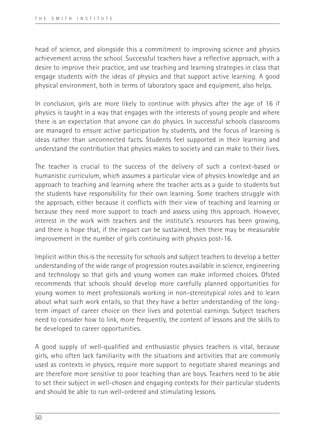head of science, and alongside this a commitment to improving science and physics achievement across the school. Successful teachers have a reflective approach, with a desire to improve their practice, and use teaching and learning strategies in class that engage students with the ideas of physics and that support active learning. A good physical environment, both in terms of laboratory space and equipment, also helps.

In conclusion, girls are more likely to continue with physics after the age of 16 if physics is taught in a way that engages with the interests of young people and where there is an expectation that anyone can do physics. In successful schools classrooms are managed to ensure active participation by students, and the focus of learning is ideas rather than unconnected facts. Students feel supported in their learning and understand the contribution that physics makes to society and can make to their lives.

The teacher is crucial to the success of the delivery of such a context-based or humanistic curriculum, which assumes a particular view of physics knowledge and an approach to teaching and learning where the teacher acts as a guide to students but the students have responsibility for their own learning. Some teachers struggle with the approach, either because it conflicts with their view of teaching and learning or because they need more support to teach and assess using this approach. However, interest in the work with teachers and the institute's resources has been growing, and there is hope that, if the impact can be sustained, then there may be measurable improvement in the number of girls continuing with physics post-16.

Implicit within this is the necessity for schools and subject teachers to develop a better understanding of the wide range of progression routes available in science, engineering and technology so that girls and young women can make informed choices. Ofsted recommends that schools should develop more carefully planned opportunities for young women to meet professionals working in non-stereotypical roles and to learn about what such work entails, so that they have a better understanding of the longterm impact of career choice on their lives and potential earnings. Subject teachers need to consider how to link, more frequently, the content of lessons and the skills to be developed to career opportunities.

A good supply of well-qualified and enthusiastic physics teachers is vital, because girls, who often lack familiarity with the situations and activities that are commonly used as contexts in physics, require more support to negotiate shared meanings and are therefore more sensitive to poor teaching than are boys. Teachers need to be able to set their subject in well-chosen and engaging contexts for their particular students and should be able to run well-ordered and stimulating lessons.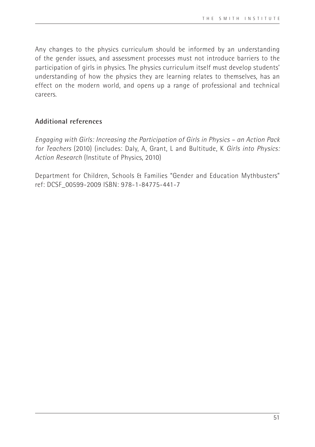Any changes to the physics curriculum should be informed by an understanding of the gender issues, and assessment processes must not introduce barriers to the participation of girls in physics. The physics curriculum itself must develop students' understanding of how the physics they are learning relates to themselves, has an effect on the modern world, and opens up a range of professional and technical careers.

## **Additional references**

*Engaging with Girls: Increasing the Participation of Girls in Physics – an Action Pack for Teachers* (2010) (includes: Daly, A, Grant, L and Bultitude, K *Girls into Physics: Action Research* (Institute of Physics, 2010)

Department for Children, Schools & Families "Gender and Education Mythbusters" ref: DCSF\_00599-2009 ISBN: 978-1-84775-441-7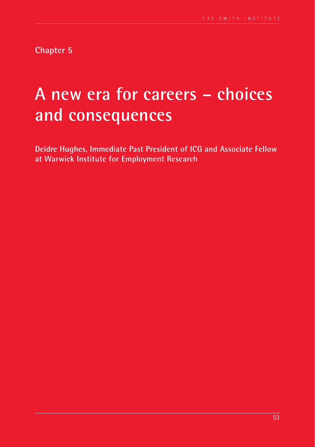**Chapter 5**

# **A new era for careers – choices and consequences**

**Deidre Hughes, Immediate Past President of ICG and Associate Fellow at Warwick Institute for Employment Research**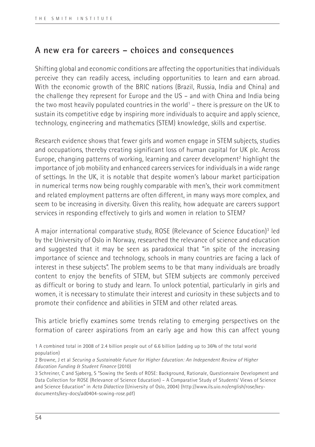## **A new era for careers – choices and consequences**

Shifting global and economic conditions are affecting the opportunities that individuals perceive they can readily access, including opportunities to learn and earn abroad. With the economic growth of the BRIC nations (Brazil, Russia, India and China) and the challenge they represent for Europe and the US – and with China and India being the two most heavily populated countries in the world<sup>1</sup> – there is pressure on the UK to sustain its competitive edge by inspiring more individuals to acquire and apply science, technology, engineering and mathematics (STEM) knowledge, skills and expertise.

Research evidence shows that fewer girls and women engage in STEM subjects, studies and occupations, thereby creating significant loss of human capital for UK plc. Across Europe, changing patterns of working, learning and career development<sup>2</sup> highlight the importance of job mobility and enhanced careers services for individuals in a wide range of settings. In the UK, it is notable that despite women's labour market participation in numerical terms now being roughly comparable with men's, their work commitment and related employment patterns are often different, in many ways more complex, and seem to be increasing in diversity. Given this reality, how adequate are careers support services in responding effectively to girls and women in relation to STEM?

A major international comparative study, ROSE (Relevance of Science Education)<sup>3</sup> led by the University of Oslo in Norway, researched the relevance of science and education and suggested that it may be seen as paradoxical that "in spite of the increasing importance of science and technology, schools in many countries are facing a lack of interest in these subjects". The problem seems to be that many individuals are broadly content to enjoy the benefits of STEM, but STEM subjects are commonly perceived as difficult or boring to study and learn. To unlock potential, particularly in girls and women, it is necessary to stimulate their interest and curiosity in these subjects and to promote their confidence and abilities in STEM and other related areas.

This article briefly examines some trends relating to emerging perspectives on the formation of career aspirations from an early age and how this can affect young

<sup>1</sup> A combined total in 2008 of 2.4 billion people out of 6.6 billion (adding up to 36% of the total world population)

<sup>2</sup> Browne, J et al *Securing a Sustainable Future for Higher Education: An Independent Review of Higher Education Funding & Student Finance* (2010)

<sup>3</sup> Schreiner, C and Sjøberg, S "Sowing the Seeds of ROSE: Background, Rationale, Questionnaire Development and Data Collection for ROSE (Relevance of Science Education) – A Comparative Study of Students' Views of Science and Science Education" in *Acta Didactica* (University of Oslo, 2004) (http://www.ils.uio.no/english/rose/keydocuments/key-docs/ad0404-sowing-rose.pdf)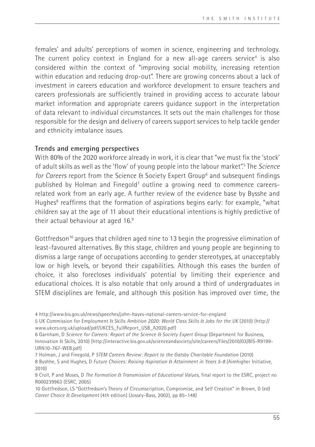females' and adults' perceptions of women in science, engineering and technology. The current policy context in England for a new all-age careers service<sup>4</sup> is also considered within the context of "improving social mobility, increasing retention within education and reducing drop-out". There are growing concerns about a lack of investment in careers education and workforce development to ensure teachers and careers professionals are sufficiently trained in providing access to accurate labour market information and appropriate careers guidance support in the interpretation of data relevant to individual circumstances. It sets out the main challenges for those responsible for the design and delivery of careers support services to help tackle gender and ethnicity imbalance issues.

## **Trends and emerging perspectives**

With 80% of the 2020 workforce already in work, it is clear that "we must fix the 'stock' of adult skills as well as the 'flow' of young people into the labour market".5 The *Science*  for Careers report from the Science & Society Expert Group<sup>6</sup> and subsequent findings published by Holman and Finegold<sup>7</sup> outline a growing need to commence careersrelated work from an early age. A further review of the evidence base by Bysshe and Hughes<sup>8</sup> reaffirms that the formation of aspirations begins early: for example, "what children say at the age of 11 about their educational intentions is highly predictive of their actual behaviour at aged 16.9

Gottfredson<sup>10</sup> argues that children aged nine to 13 begin the progressive elimination of least-favoured alternatives. By this stage, children and young people are beginning to dismiss a large range of occupations according to gender stereotypes, at unacceptably low or high levels, or beyond their capabilities. Although this eases the burden of choice, it also forecloses individuals' potential by limiting their experience and educational choices. It is also notable that only around a third of undergraduates in STEM disciplines are female, and although this position has improved over time, the

7 Holman, J and Finegold, P *STEM Careers Review: Report to the Gatsby Charitable Foundation* (2010) 8 Byshhe, S and Hughes, D *Future Choices: Raising Aspiration & Attainment in Years 5-8* (Aimhigher Initiative,

2010)

<sup>4</sup> http://www.bis.gov.uk/news/speeches/john-hayes-national-careers-service-for-england

<sup>5</sup> UK Commission for Employment & Skills *Ambition 2020: World Class Skills & Jobs for the UK* (2010) (http:// www.ukces.org.uk/upload/pdf/UKCES\_FullReport\_USB\_A2020.pdf)

<sup>6</sup> Garnham, D *Science for Careers: Report of the Science & Society Expert Group* (Department for Business, Innovation & Skills, 2010) (http://interactive.bis.gov.uk/scienceandsociety/site/careers/files/2010/03/BIS-R9199- URN10-767-WEB.pdf)

<sup>9</sup> Croll, P and Moses, D *The Formation & Transmission of Educational Values*, final report to the ESRC, project no R000239963 (ESRC, 2005)

<sup>10</sup> Gottfredson, LS "Gottfredson's Theory of Circumscription, Compromise, and Self Creation" in Brown, D (ed) *Career Choice & Development* (4th edition) (Jossey-Bass, 2002), pp 85–148)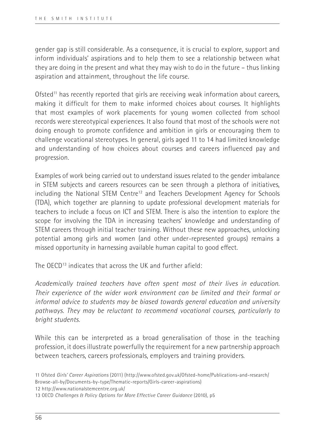gender gap is still considerable. As a consequence, it is crucial to explore, support and inform individuals' aspirations and to help them to see a relationship between what they are doing in the present and what they may wish to do in the future – thus linking aspiration and attainment, throughout the life course.

Ofsted<sup>11</sup> has recently reported that girls are receiving weak information about careers, making it difficult for them to make informed choices about courses. It highlights that most examples of work placements for young women collected from school records were stereotypical experiences. It also found that most of the schools were not doing enough to promote confidence and ambition in girls or encouraging them to challenge vocational stereotypes. In general, girls aged 11 to 14 had limited knowledge and understanding of how choices about courses and careers influenced pay and progression.

Examples of work being carried out to understand issues related to the gender imbalance in STEM subjects and careers resources can be seen through a plethora of initiatives, including the National STEM Centre<sup>12</sup> and Teachers Development Agency for Schools (TDA), which together are planning to update professional development materials for teachers to include a focus on ICT and STEM. There is also the intention to explore the scope for involving the TDA in increasing teachers' knowledge and understanding of STEM careers through initial teacher training. Without these new approaches, unlocking potential among girls and women (and other under-represented groups) remains a missed opportunity in harnessing available human capital to good effect.

The OECD13 indicates that across the UK and further afield:

*Academically trained teachers have often spent most of their lives in education. Their experience of the wider work environment can be limited and their formal or informal advice to students may be biased towards general education and university pathways. They may be reluctant to recommend vocational courses, particularly to bright students.* 

While this can be interpreted as a broad generalisation of those in the teaching profession, it does illustrate powerfully the requirement for a new partnership approach between teachers, careers professionals, employers and training providers.

12 http://www.nationalstemcentre.org.uk/

<sup>11</sup> Ofsted *Girls' Career Aspirations* (2011) (http://www.ofsted.gov.uk/Ofsted-home/Publications-and-research/ Browse-all-by/Documents-by-type/Thematic-reports/Girls-career-aspirations)

<sup>13</sup> OECD *Challenges & Policy Options for More Effective Career Guidance* (2010), p5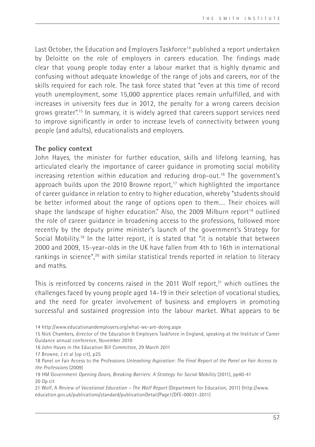Last October, the Education and Employers Taskforce<sup>14</sup> published a report undertaken by Deloitte on the role of employers in careers education. The findings made clear that young people today enter a labour market that is highly dynamic and confusing without adequate knowledge of the range of jobs and careers, nor of the skills required for each role. The task force stated that "even at this time of record youth unemployment, some 15,000 apprentice places remain unfulfilled, and with increases in university fees due in 2012, the penalty for a wrong careers decision grows greater".15 In summary, it is widely agreed that careers support services need to improve significantly in order to increase levels of connectivity between young people (and adults), educationalists and employers.

## **The policy context**

John Hayes, the minister for further education, skills and lifelong learning, has articulated clearly the importance of career guidance in promoting social mobility increasing retention within education and reducing drop-out.16 The government's approach builds upon the 2010 Browne report,<sup>17</sup> which highlighted the importance of career guidance in relation to entry to higher education, whereby "students should be better informed about the range of options open to them.… Their choices will shape the landscape of higher education." Also, the 2009 Milburn report<sup>18</sup> outlined the role of career guidance in broadening access to the professions, followed more recently by the deputy prime minister's launch of the government's Strategy for Social Mobility.19 In the latter report, it is stated that "it is notable that between 2000 and 2009, 15-year-olds in the UK have fallen from 4th to 16th in international rankings in science",<sup>20</sup> with similar statistical trends reported in relation to literacy and maths.

This is reinforced by concerns raised in the 2011 Wolf report, $21$  which outlines the challenges faced by young people aged 14-19 in their selection of vocational studies, and the need for greater involvement of business and employers in promoting successful and sustained progression into the labour market. What appears to be

14 http://www.educationandemployers.org/what-we-are-doing.aspx

15 Nick Chambers, director of the Education & Employers Taskforce in England, speaking at the Institute of Career Guidance annual conference, November 2010

16 John Hayes in the Education Bill Committee, 29 March 2011

17 Browne, J et al (op cit), p25

21 Wolf, A *Review of Vocational Education – The Wolf Report* (Department for Education, 2011) (http://www. education.gov.uk/publications/standard/publicationDetail/Page1/DFE-00031-2011)

<sup>18</sup> Panel on Fair Access to the Professions *Unleashing Aspiration: The Final Report of the Panel on Fair Access to the Professions* (2009)

<sup>19</sup> HM Government *Opening Doors, Breaking Barriers: A Strategy for Social Mobility* (2011), pp40-41 20 Op cit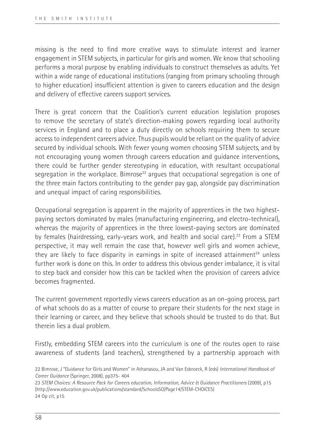missing is the need to find more creative ways to stimulate interest and learner engagement in STEM subjects, in particular for girls and women. We know that schooling performs a moral purpose by enabling individuals to construct themselves as adults. Yet within a wide range of educational institutions (ranging from primary schooling through to higher education) insufficient attention is given to careers education and the design and delivery of effective careers support services.

There is great concern that the Coalition's current education legislation proposes to remove the secretary of state's direction-making powers regarding local authority services in England and to place a duty directly on schools requiring them to secure access to independent careers advice. Thus pupils would be reliant on the quality of advice secured by individual schools. With fewer young women choosing STEM subjects, and by not encouraging young women through careers education and guidance interventions, there could be further gender stereotyping in education, with resultant occupational segregation in the workplace. Bimrose<sup>22</sup> argues that occupational segregation is one of the three main factors contributing to the gender pay gap, alongside pay discrimination and unequal impact of caring responsibilities.

Occupational segregation is apparent in the majority of apprentices in the two highestpaying sectors dominated by males (manufacturing engineering, and electro-technical), whereas the majority of apprentices in the three lowest-paying sectors are dominated by females (hairdressing, early-years work, and health and social care).<sup>23</sup> From a STEM perspective, it may well remain the case that, however well girls and women achieve, they are likely to face disparity in earnings in spite of increased attainment<sup>24</sup> unless further work is done on this. In order to address this obvious gender imbalance, it is vital to step back and consider how this can be tackled when the provision of careers advice becomes fragmented.

The current government reportedly views careers education as an on-going process, part of what schools do as a matter of course to prepare their students for the next stage in their learning or career, and they believe that schools should be trusted to do that. But therein lies a dual problem.

Firstly, embedding STEM careers into the curriculum is one of the routes open to raise awareness of students (and teachers), strengthened by a partnership approach with

23 *STEM Choices: A Resource Pack for Careers education, Information, Advice & Guidance Practitioners* (2009), p15 (http://www.education.gov.uk/publications/standard/SchoolsSO/Page14/STEM-CHOICES) 24 Op cit, p15

<sup>22</sup> Bimrose, J "Guidance for Girls and Women" in Athanasou, JA and Van Esbroeck, R (eds) *International Handbook of Career Guidance* (Springer, 2008), pp375- 404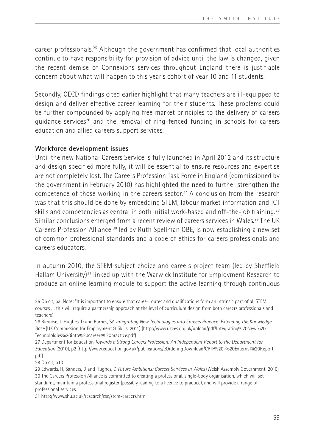career professionals.25 Although the government has confirmed that local authorities continue to have responsibility for provision of advice until the law is changed, given the recent demise of Connexions services throughout England there is justifiable concern about what will happen to this year's cohort of year 10 and 11 students.

Secondly, OECD findings cited earlier highlight that many teachers are ill-equipped to design and deliver effective career learning for their students. These problems could be further compounded by applying free market principles to the delivery of careers guidance services26 and the removal of ring-fenced funding in schools for careers education and allied careers support services.

## **Workforce development issues**

Until the new National Careers Service is fully launched in April 2012 and its structure and design specified more fully, it will be essential to ensure resources and expertise are not completely lost. The Careers Profession Task Force in England (commissioned by the government in February 2010) has highlighted the need to further strengthen the competence of those working in the careers sector.<sup>27</sup> A conclusion from the research was that this should be done by embedding STEM, labour market information and ICT skills and competencies as central in both initial work-based and off-the-job training.<sup>28</sup> Similar conclusions emerged from a recent review of careers services in Wales.29 The UK Careers Profession Alliance,<sup>30</sup> led by Ruth Spellman OBE, is now establishing a new set of common professional standards and a code of ethics for careers professionals and careers educators.

In autumn 2010, the STEM subject choice and careers project team (led by Sheffield Hallam University)31 linked up with the Warwick Institute for Employment Research to produce an online learning module to support the active learning through continuous

26 Bimrose, J, Hughes, D and Barnes, SA *Integrating New Technologies into Careers Practice: Extending the Knowledge Base* (UK Commission for Employment & Skills, 2011) (http://www.ukces.org.uk/upload/pdf/Integrating%20New%20 Technololgies%20into%20careers%20practice.pdf)

27 Department for Education *Towards a Strong Careers Profession: An Independent Report to the Department for Education* (2010), p2 (http://www.education.gov.uk/publications/eOrderingDownload/CPTF%20-%20External%20Report. pdf)

28 Op cit, p13

29 Edwards, H, Sanders, D and Hughes, D *Future Ambitions: Careers Services in Wales* (Welsh Assembly Government, 2010) 30 The Careers Profession Alliance is committed to creating a professional, single-body organisation, which will set standards, maintain a professional register (possibly leading to a licence to practice), and will provide a range of professional services.

31 http://www.shu.ac.uk/research/cse/stem-careers.html

<sup>25</sup> Op cit, p3. Note: "It is important to ensure that career routes and qualifications form an intrinsic part of all STEM courses … this will require a partnership approach at the level of curriculum design from both careers professionals and teachers."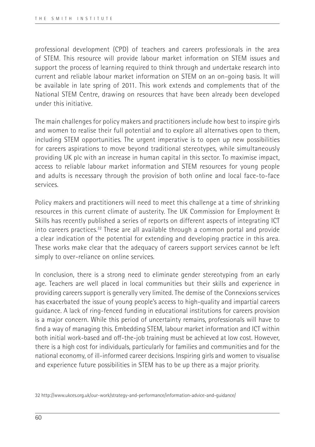professional development (CPD) of teachers and careers professionals in the area of STEM. This resource will provide labour market information on STEM issues and support the process of learning required to think through and undertake research into current and reliable labour market information on STEM on an on-going basis. It will be available in late spring of 2011. This work extends and complements that of the National STEM Centre, drawing on resources that have been already been developed under this initiative.

The main challenges for policy makers and practitioners include how best to inspire girls and women to realise their full potential and to explore all alternatives open to them, including STEM opportunities. The urgent imperative is to open up new possibilities for careers aspirations to move beyond traditional stereotypes, while simultaneously providing UK plc with an increase in human capital in this sector. To maximise impact, access to reliable labour market information and STEM resources for young people and adults is necessary through the provision of both online and local face-to-face services.

Policy makers and practitioners will need to meet this challenge at a time of shrinking resources in this current climate of austerity. The UK Commission for Employment & Skills has recently published a series of reports on different aspects of integrating ICT into careers practices.32 These are all available through a common portal and provide a clear indication of the potential for extending and developing practice in this area. These works make clear that the adequacy of careers support services cannot be left simply to over-reliance on online services.

In conclusion, there is a strong need to eliminate gender stereotyping from an early age. Teachers are well placed in local communities but their skills and experience in providing careers support is generally very limited. The demise of the Connexions services has exacerbated the issue of young people's access to high-quality and impartial careers guidance. A lack of ring-fenced funding in educational institutions for careers provision is a major concern. While this period of uncertainty remains, professionals will have to find a way of managing this. Embedding STEM, labour market information and ICT within both initial work-based and off-the-job training must be achieved at low cost. However, there is a high cost for individuals, particularly for families and communities and for the national economy, of ill-informed career decisions. Inspiring girls and women to visualise and experience future possibilities in STEM has to be up there as a major priority.

<sup>32</sup> http://www.ukces.org.uk/our-work/strategy-and-performance/information-advice-and-guidance/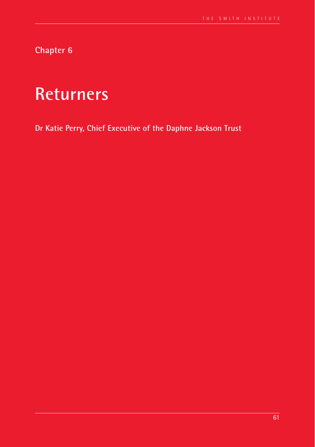**Chapter 6**

# **Returners**

**Dr Katie Perry, Chief Executive of the Daphne Jackson Trust**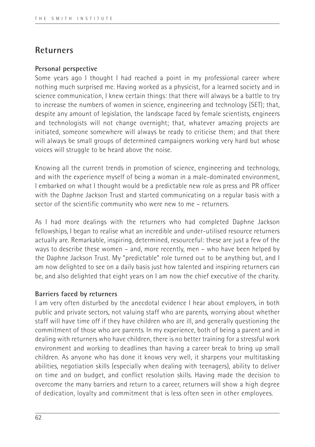## **Returners**

## **Personal perspective**

Some years ago I thought I had reached a point in my professional career where nothing much surprised me. Having worked as a physicist, for a learned society and in science communication, I knew certain things: that there will always be a battle to try to increase the numbers of women in science, engineering and technology (SET); that, despite any amount of legislation, the landscape faced by female scientists, engineers and technologists will not change overnight; that, whatever amazing projects are initiated, someone somewhere will always be ready to criticise them; and that there will always be small groups of determined campaigners working very hard but whose voices will struggle to be heard above the noise.

Knowing all the current trends in promotion of science, engineering and technology, and with the experience myself of being a woman in a male-dominated environment, I embarked on what I thought would be a predictable new role as press and PR officer with the Daphne Jackson Trust and started communicating on a regular basis with a sector of the scientific community who were new to me – returners.

As I had more dealings with the returners who had completed Daphne Jackson fellowships, I began to realise what an incredible and under-utilised resource returners actually are. Remarkable, inspiring, determined, resourceful: these are just a few of the ways to describe these women – and, more recently, men – who have been helped by the Daphne Jackson Trust. My "predictable" role turned out to be anything but, and I am now delighted to see on a daily basis just how talented and inspiring returners can be, and also delighted that eight years on I am now the chief executive of the charity.

## **Barriers faced by returners**

I am very often disturbed by the anecdotal evidence I hear about employers, in both public and private sectors, not valuing staff who are parents, worrying about whether staff will have time off if they have children who are ill, and generally questioning the commitment of those who are parents. In my experience, both of being a parent and in dealing with returners who have children, there is no better training for a stressful work environment and working to deadlines than having a career break to bring up small children. As anyone who has done it knows very well, it sharpens your multitasking abilities, negotiation skills (especially when dealing with teenagers), ability to deliver on time and on budget, and conflict resolution skills. Having made the decision to overcome the many barriers and return to a career, returners will show a high degree of dedication, loyalty and commitment that is less often seen in other employees.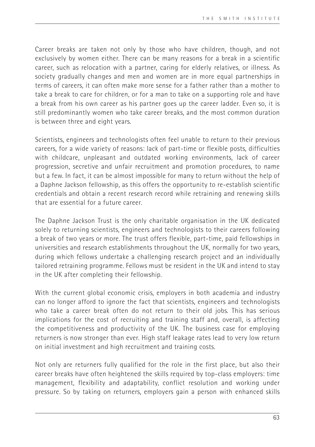Career breaks are taken not only by those who have children, though, and not exclusively by women either. There can be many reasons for a break in a scientific career, such as relocation with a partner, caring for elderly relatives, or illness. As society gradually changes and men and women are in more equal partnerships in terms of careers, it can often make more sense for a father rather than a mother to take a break to care for children, or for a man to take on a supporting role and have a break from his own career as his partner goes up the career ladder. Even so, it is still predominantly women who take career breaks, and the most common duration is between three and eight years.

Scientists, engineers and technologists often feel unable to return to their previous careers, for a wide variety of reasons: lack of part-time or flexible posts, difficulties with childcare, unpleasant and outdated working environments, lack of career progression, secretive and unfair recruitment and promotion procedures, to name but a few. In fact, it can be almost impossible for many to return without the help of a Daphne Jackson fellowship, as this offers the opportunity to re-establish scientific credentials and obtain a recent research record while retraining and renewing skills that are essential for a future career.

The Daphne Jackson Trust is the only charitable organisation in the UK dedicated solely to returning scientists, engineers and technologists to their careers following a break of two years or more. The trust offers flexible, part-time, paid fellowships in universities and research establishments throughout the UK, normally for two years, during which fellows undertake a challenging research project and an individually tailored retraining programme. Fellows must be resident in the UK and intend to stay in the UK after completing their fellowship.

With the current global economic crisis, employers in both academia and industry can no longer afford to ignore the fact that scientists, engineers and technologists who take a career break often do not return to their old jobs. This has serious implications for the cost of recruiting and training staff and, overall, is affecting the competitiveness and productivity of the UK. The business case for employing returners is now stronger than ever. High staff leakage rates lead to very low return on initial investment and high recruitment and training costs.

Not only are returners fully qualified for the role in the first place, but also their career breaks have often heightened the skills required by top-class employers: time management, flexibility and adaptability, conflict resolution and working under pressure. So by taking on returners, employers gain a person with enhanced skills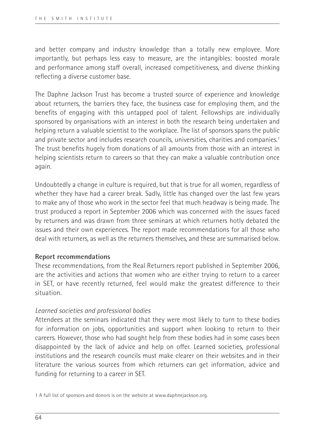and better company and industry knowledge than a totally new employee. More importantly, but perhaps less easy to measure, are the intangibles: boosted morale and performance among staff overall, increased competitiveness, and diverse thinking reflecting a diverse customer base.

The Daphne Jackson Trust has become a trusted source of experience and knowledge about returners, the barriers they face, the business case for employing them, and the benefits of engaging with this untapped pool of talent. Fellowships are individually sponsored by organisations with an interest in both the research being undertaken and helping return a valuable scientist to the workplace. The list of sponsors spans the public and private sector and includes research councils, universities, charities and companies.1 The trust benefits hugely from donations of all amounts from those with an interest in helping scientists return to careers so that they can make a valuable contribution once again.

Undoubtedly a change in culture is required, but that is true for all women, regardless of whether they have had a career break. Sadly, little has changed over the last few years to make any of those who work in the sector feel that much headway is being made. The trust produced a report in September 2006 which was concerned with the issues faced by returners and was drawn from three seminars at which returners hotly debated the issues and their own experiences. The report made recommendations for all those who deal with returners, as well as the returners themselves, and these are summarised below.

## **Report recommendations**

These recommendations, from the Real Returners report published in September 2006, are the activities and actions that women who are either trying to return to a career in SET, or have recently returned, feel would make the greatest difference to their situation.

## *Learned societies and professional bodies*

Attendees at the seminars indicated that they were most likely to turn to these bodies for information on jobs, opportunities and support when looking to return to their careers. However, those who had sought help from these bodies had in some cases been disappointed by the lack of advice and help on offer. Learned societies, professional institutions and the research councils must make clearer on their websites and in their literature the various sources from which returners can get information, advice and funding for returning to a career in SET.

<sup>1</sup> A full list of sponsors and donors is on the website at www.daphnejackson.org.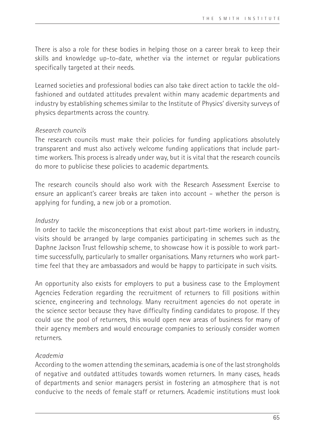There is also a role for these bodies in helping those on a career break to keep their skills and knowledge up-to-date, whether via the internet or regular publications specifically targeted at their needs.

Learned societies and professional bodies can also take direct action to tackle the oldfashioned and outdated attitudes prevalent within many academic departments and industry by establishing schemes similar to the Institute of Physics' diversity surveys of physics departments across the country.

## *Research councils*

The research councils must make their policies for funding applications absolutely transparent and must also actively welcome funding applications that include parttime workers. This process is already under way, but it is vital that the research councils do more to publicise these policies to academic departments.

The research councils should also work with the Research Assessment Exercise to ensure an applicant's career breaks are taken into account – whether the person is applying for funding, a new job or a promotion.

## *Industry*

In order to tackle the misconceptions that exist about part-time workers in industry, visits should be arranged by large companies participating in schemes such as the Daphne Jackson Trust fellowship scheme, to showcase how it is possible to work parttime successfully, particularly to smaller organisations. Many returners who work parttime feel that they are ambassadors and would be happy to participate in such visits.

An opportunity also exists for employers to put a business case to the Employment Agencies Federation regarding the recruitment of returners to fill positions within science, engineering and technology. Many recruitment agencies do not operate in the science sector because they have difficulty finding candidates to propose. If they could use the pool of returners, this would open new areas of business for many of their agency members and would encourage companies to seriously consider women returners.

## *Academia*

According to the women attending the seminars, academia is one of the last strongholds of negative and outdated attitudes towards women returners. In many cases, heads of departments and senior managers persist in fostering an atmosphere that is not conducive to the needs of female staff or returners. Academic institutions must look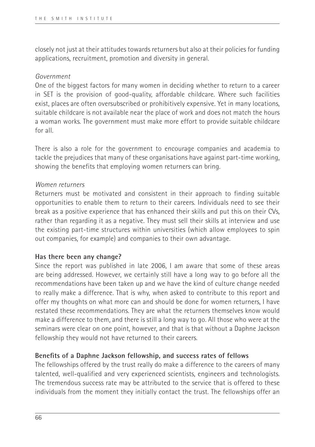closely not just at their attitudes towards returners but also at their policies for funding applications, recruitment, promotion and diversity in general.

## *Government*

One of the biggest factors for many women in deciding whether to return to a career in SET is the provision of good-quality, affordable childcare. Where such facilities exist, places are often oversubscribed or prohibitively expensive. Yet in many locations, suitable childcare is not available near the place of work and does not match the hours a woman works. The government must make more effort to provide suitable childcare for all.

There is also a role for the government to encourage companies and academia to tackle the prejudices that many of these organisations have against part-time working, showing the benefits that employing women returners can bring.

## *Women returners*

Returners must be motivated and consistent in their approach to finding suitable opportunities to enable them to return to their careers. Individuals need to see their break as a positive experience that has enhanced their skills and put this on their CVs, rather than regarding it as a negative. They must sell their skills at interview and use the existing part-time structures within universities (which allow employees to spin out companies, for example) and companies to their own advantage.

## **Has there been any change?**

Since the report was published in late 2006, I am aware that some of these areas are being addressed. However, we certainly still have a long way to go before all the recommendations have been taken up and we have the kind of culture change needed to really make a difference. That is why, when asked to contribute to this report and offer my thoughts on what more can and should be done for women returners, I have restated these recommendations. They are what the returners themselves know would make a difference to them, and there is still a long way to go. All those who were at the seminars were clear on one point, however, and that is that without a Daphne Jackson fellowship they would not have returned to their careers.

## **Benefits of a Daphne Jackson fellowship, and success rates of fellows**

The fellowships offered by the trust really do make a difference to the careers of many talented, well-qualified and very experienced scientists, engineers and technologists. The tremendous success rate may be attributed to the service that is offered to these individuals from the moment they initially contact the trust. The fellowships offer an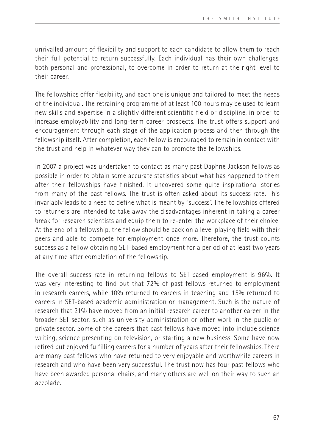unrivalled amount of flexibility and support to each candidate to allow them to reach their full potential to return successfully. Each individual has their own challenges, both personal and professional, to overcome in order to return at the right level to their career.

The fellowships offer flexibility, and each one is unique and tailored to meet the needs of the individual. The retraining programme of at least 100 hours may be used to learn new skills and expertise in a slightly different scientific field or discipline, in order to increase employability and long-term career prospects. The trust offers support and encouragement through each stage of the application process and then through the fellowship itself. After completion, each fellow is encouraged to remain in contact with the trust and help in whatever way they can to promote the fellowships.

In 2007 a project was undertaken to contact as many past Daphne Jackson fellows as possible in order to obtain some accurate statistics about what has happened to them after their fellowships have finished. It uncovered some quite inspirational stories from many of the past fellows. The trust is often asked about its success rate. This invariably leads to a need to define what is meant by "success". The fellowships offered to returners are intended to take away the disadvantages inherent in taking a career break for research scientists and equip them to re-enter the workplace of their choice. At the end of a fellowship, the fellow should be back on a level playing field with their peers and able to compete for employment once more. Therefore, the trust counts success as a fellow obtaining SET-based employment for a period of at least two years at any time after completion of the fellowship.

The overall success rate in returning fellows to SET-based employment is 96%. It was very interesting to find out that 72% of past fellows returned to employment in research careers, while 10% returned to careers in teaching and 15% returned to careers in SET-based academic administration or management. Such is the nature of research that 21% have moved from an initial research career to another career in the broader SET sector, such as university administration or other work in the public or private sector. Some of the careers that past fellows have moved into include science writing, science presenting on television, or starting a new business. Some have now retired but enjoyed fulfilling careers for a number of years after their fellowships. There are many past fellows who have returned to very enjoyable and worthwhile careers in research and who have been very successful. The trust now has four past fellows who have been awarded personal chairs, and many others are well on their way to such an accolade.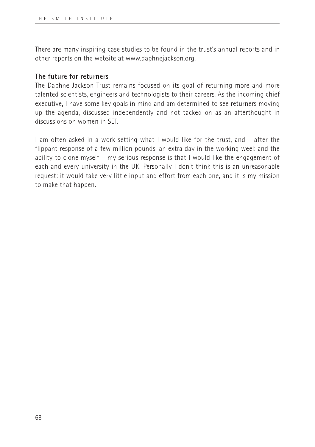There are many inspiring case studies to be found in the trust's annual reports and in other reports on the website at www.daphnejackson.org.

## **The future for returners**

The Daphne Jackson Trust remains focused on its goal of returning more and more talented scientists, engineers and technologists to their careers. As the incoming chief executive, I have some key goals in mind and am determined to see returners moving up the agenda, discussed independently and not tacked on as an afterthought in discussions on women in SET.

I am often asked in a work setting what I would like for the trust, and – after the flippant response of a few million pounds, an extra day in the working week and the ability to clone myself – my serious response is that I would like the engagement of each and every university in the UK. Personally I don't think this is an unreasonable request: it would take very little input and effort from each one, and it is my mission to make that happen.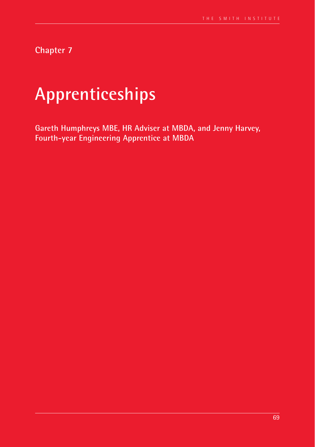**Chapter 7**

# **Apprenticeships**

**Gareth Humphreys MBE, HR Adviser at MBDA, and Jenny Harvey, Fourth-year Engineering Apprentice at MBDA**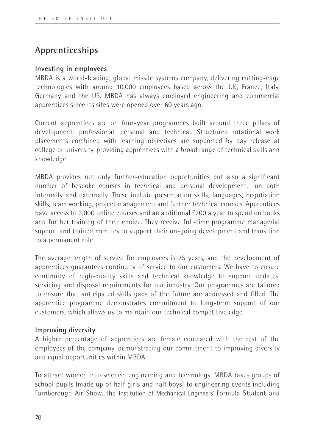## **Apprenticeships**

## **Investing in employees**

MBDA is a world-leading, global missile systems company, delivering cutting-edge technologies with around 10,000 employees based across the UK, France, Italy, Germany and the US. MBDA has always employed engineering and commercial apprentices since its sites were opened over 60 years ago.

Current apprentices are on four-year programmes built around three pillars of development: professional, personal and technical. Structured rotational work placements combined with learning objectives are supported by day release at college or university, providing apprentices with a broad range of technical skills and knowledge.

MBDA provides not only further-education opportunities but also a significant number of bespoke courses in technical and personal development, run both internally and externally. These include presentation skills, languages, negotiation skills, team working, project management and further technical courses. Apprentices have access to 3,000 online courses and an additional £200 a year to spend on books and further training of their choice. They receive full-time programme managerial support and trained mentors to support their on-going development and transition to a permanent role.

The average length of service for employees is 25 years, and the development of apprentices guarantees continuity of service to our customers. We have to ensure continuity of high-quality skills and technical knowledge to support updates, servicing and disposal requirements for our industry. Our programmes are tailored to ensure that anticipated skills gaps of the future are addressed and filled. The apprentice programme demonstrates commitment to long-term support of our customers, which allows us to maintain our technical competitive edge.

## **Improving diversity**

A higher percentage of apprentices are female compared with the rest of the employees of the company, demonstrating our commitment to improving diversity and equal opportunities within MBDA.

To attract women into science, engineering and technology, MBDA takes groups of school pupils (made up of half girls and half boys) to engineering events including Farnborough Air Show, the Institution of Mechanical Engineers' Formula Student and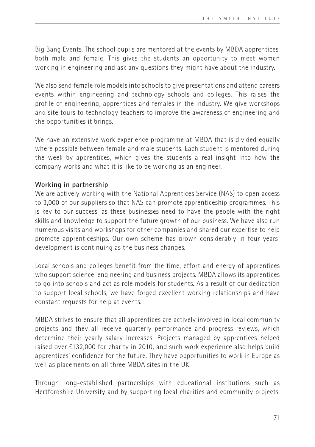Big Bang Events. The school pupils are mentored at the events by MBDA apprentices, both male and female. This gives the students an opportunity to meet women working in engineering and ask any questions they might have about the industry.

We also send female role models into schools to give presentations and attend careers events within engineering and technology schools and colleges. This raises the profile of engineering, apprentices and females in the industry. We give workshops and site tours to technology teachers to improve the awareness of engineering and the opportunities it brings.

We have an extensive work experience programme at MBDA that is divided equally where possible between female and male students. Each student is mentored during the week by apprentices, which gives the students a real insight into how the company works and what it is like to be working as an engineer.

## **Working in partnership**

We are actively working with the National Apprentices Service (NAS) to open access to 3,000 of our suppliers so that NAS can promote apprenticeship programmes. This is key to our success, as these businesses need to have the people with the right skills and knowledge to support the future growth of our business. We have also run numerous visits and workshops for other companies and shared our expertise to help promote apprenticeships. Our own scheme has grown considerably in four years; development is continuing as the business changes.

Local schools and colleges benefit from the time, effort and energy of apprentices who support science, engineering and business projects. MBDA allows its apprentices to go into schools and act as role models for students. As a result of our dedication to support local schools, we have forged excellent working relationships and have constant requests for help at events.

MBDA strives to ensure that all apprentices are actively involved in local community projects and they all receive quarterly performance and progress reviews, which determine their yearly salary increases. Projects managed by apprentices helped raised over £132,000 for charity in 2010, and such work experience also helps build apprentices' confidence for the future. They have opportunities to work in Europe as well as placements on all three MBDA sites in the UK.

Through long-established partnerships with educational institutions such as Hertfordshire University and by supporting local charities and community projects,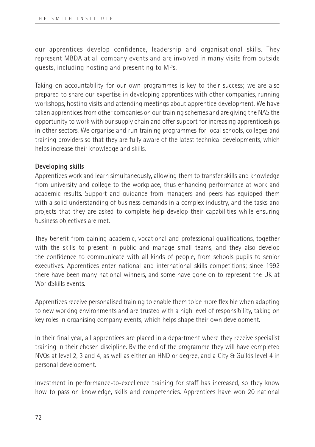our apprentices develop confidence, leadership and organisational skills. They represent MBDA at all company events and are involved in many visits from outside guests, including hosting and presenting to MPs.

Taking on accountability for our own programmes is key to their success; we are also prepared to share our expertise in developing apprentices with other companies, running workshops, hosting visits and attending meetings about apprentice development. We have taken apprentices from other companies on our training schemes and are giving the NAS the opportunity to work with our supply chain and offer support for increasing apprenticeships in other sectors. We organise and run training programmes for local schools, colleges and training providers so that they are fully aware of the latest technical developments, which helps increase their knowledge and skills.

#### **Developing skills**

Apprentices work and learn simultaneously, allowing them to transfer skills and knowledge from university and college to the workplace, thus enhancing performance at work and academic results. Support and guidance from managers and peers has equipped them with a solid understanding of business demands in a complex industry, and the tasks and projects that they are asked to complete help develop their capabilities while ensuring business objectives are met.

They benefit from gaining academic, vocational and professional qualifications, together with the skills to present in public and manage small teams, and they also develop the confidence to communicate with all kinds of people, from schools pupils to senior executives. Apprentices enter national and international skills competitions; since 1992 there have been many national winners, and some have gone on to represent the UK at WorldSkills events.

Apprentices receive personalised training to enable them to be more flexible when adapting to new working environments and are trusted with a high level of responsibility, taking on key roles in organising company events, which helps shape their own development.

In their final year, all apprentices are placed in a department where they receive specialist training in their chosen discipline. By the end of the programme they will have completed NVQs at level 2, 3 and 4, as well as either an HND or degree, and a City & Guilds level 4 in personal development.

Investment in performance-to-excellence training for staff has increased, so they know how to pass on knowledge, skills and competencies. Apprentices have won 20 national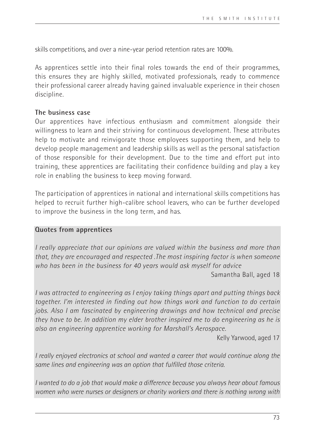skills competitions, and over a nine-year period retention rates are 100%.

As apprentices settle into their final roles towards the end of their programmes, this ensures they are highly skilled, motivated professionals, ready to commence their professional career already having gained invaluable experience in their chosen discipline.

#### **The business case**

Our apprentices have infectious enthusiasm and commitment alongside their willingness to learn and their striving for continuous development. These attributes help to motivate and reinvigorate those employees supporting them, and help to develop people management and leadership skills as well as the personal satisfaction of those responsible for their development. Due to the time and effort put into training, these apprentices are facilitating their confidence building and play a key role in enabling the business to keep moving forward.

The participation of apprentices in national and international skills competitions has helped to recruit further high-calibre school leavers, who can be further developed to improve the business in the long term, and has.

#### **Quotes from apprentices**

*I really appreciate that our opinions are valued within the business and more than that, they are encouraged and respected .The most inspiring factor is when someone who has been in the business for 40 years would ask myself for advice* 

Samantha Ball, aged 18

*I was attracted to engineering as I enjoy taking things apart and putting things back together. I'm interested in finding out how things work and function to do certain jobs. Also I am fascinated by engineering drawings and how technical and precise they have to be. In addition my elder brother inspired me to do engineering as he is also an engineering apprentice working for Marshall's Aerospace.*

Kelly Yarwood, aged 17

*I really enjoyed electronics at school and wanted a career that would continue along the same lines and engineering was an option that fulfilled those criteria.*

*I wanted to do a job that would make a difference because you always hear about famous women who were nurses or designers or charity workers and there is nothing wrong with*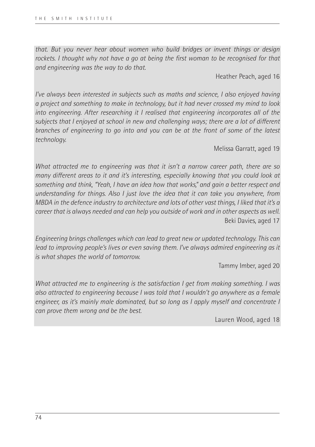*that. But you never hear about women who build bridges or invent things or design rockets. I thought why not have a go at being the first woman to be recognised for that and engineering was the way to do that.*

Heather Peach, aged 16

*I've always been interested in subjects such as maths and science, I also enjoyed having a project and something to make in technology, but it had never crossed my mind to look into engineering. After researching it I realised that engineering incorporates all of the subjects that I enjoyed at school in new and challenging ways; there are a lot of different branches of engineering to go into and you can be at the front of some of the latest technology.*

Melissa Garratt, aged 19

*What attracted me to engineering was that it isn't a narrow career path, there are so many different areas to it and it's interesting, especially knowing that you could look at something and think, "Yeah, I have an idea how that works," and gain a better respect and understanding for things. Also I just love the idea that it can take you anywhere, from MBDA in the defence industry to architecture and lots of other vast things, I liked that it's a career that is always needed and can help you outside of work and in other aspects as well.*  Beki Davies, aged 17

*Engineering brings challenges which can lead to great new or updated technology. This can lead to improving people's lives or even saving them. I've always admired engineering as it is what shapes the world of tomorrow.* 

Tammy Imber, aged 20

*What attracted me to engineering is the satisfaction I get from making something. I was also attracted to engineering because I was told that I wouldn't go anywhere as a female engineer, as it's mainly male dominated, but so long as I apply myself and concentrate I can prove them wrong and be the best.*

Lauren Wood, aged 18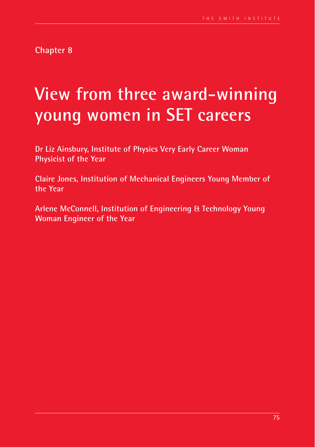**Chapter 8**

## **View from three award-winning young women in SET careers**

**Dr Liz Ainsbury, Institute of Physics Very Early Career Woman Physicist of the Year** 

**Claire Jones, Institution of Mechanical Engineers Young Member of the Year** 

**Arlene McConnell, Institution of Engineering & Technology Young Woman Engineer of the Year**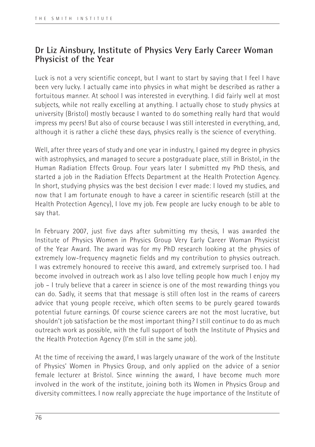## **Dr Liz Ainsbury, Institute of Physics Very Early Career Woman Physicist of the Year**

Luck is not a very scientific concept, but I want to start by saying that I feel I have been very lucky. I actually came into physics in what might be described as rather a fortuitous manner. At school I was interested in everything. I did fairly well at most subjects, while not really excelling at anything. I actually chose to study physics at university (Bristol) mostly because I wanted to do something really hard that would impress my peers! But also of course because I was still interested in everything, and, although it is rather a cliché these days, physics really is the science of everything.

Well, after three years of study and one year in industry, I gained my degree in physics with astrophysics, and managed to secure a postgraduate place, still in Bristol, in the Human Radiation Effects Group. Four years later I submitted my PhD thesis, and started a job in the Radiation Effects Department at the Health Protection Agency. In short, studying physics was the best decision I ever made: I loved my studies, and now that I am fortunate enough to have a career in scientific research (still at the Health Protection Agency), I love my job. Few people are lucky enough to be able to say that.

In February 2007, just five days after submitting my thesis, I was awarded the Institute of Physics Women in Physics Group Very Early Career Woman Physicist of the Year Award. The award was for my PhD research looking at the physics of extremely low-frequency magnetic fields and my contribution to physics outreach. I was extremely honoured to receive this award, and extremely surprised too. I had become involved in outreach work as I also love telling people how much I enjoy my job – I truly believe that a career in science is one of the most rewarding things you can do. Sadly, it seems that that message is still often lost in the reams of careers advice that young people receive, which often seems to be purely geared towards potential future earnings. Of course science careers are not the most lucrative, but shouldn't job satisfaction be the most important thing? I still continue to do as much outreach work as possible, with the full support of both the Institute of Physics and the Health Protection Agency (I'm still in the same job).

At the time of receiving the award, I was largely unaware of the work of the Institute of Physics' Women in Physics Group, and only applied on the advice of a senior female lecturer at Bristol. Since winning the award, I have become much more involved in the work of the institute, joining both its Women in Physics Group and diversity committees. I now really appreciate the huge importance of the Institute of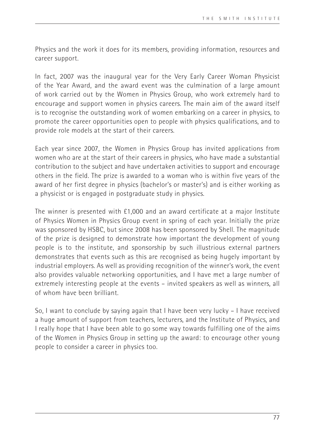Physics and the work it does for its members, providing information, resources and career support.

In fact, 2007 was the inaugural year for the Very Early Career Woman Physicist of the Year Award, and the award event was the culmination of a large amount of work carried out by the Women in Physics Group, who work extremely hard to encourage and support women in physics careers. The main aim of the award itself is to recognise the outstanding work of women embarking on a career in physics, to promote the career opportunities open to people with physics qualifications, and to provide role models at the start of their careers.

Each year since 2007, the Women in Physics Group has invited applications from women who are at the start of their careers in physics, who have made a substantial contribution to the subject and have undertaken activities to support and encourage others in the field. The prize is awarded to a woman who is within five years of the award of her first degree in physics (bachelor's or master's) and is either working as a physicist or is engaged in postgraduate study in physics.

The winner is presented with £1,000 and an award certificate at a major Institute of Physics Women in Physics Group event in spring of each year. Initially the prize was sponsored by HSBC, but since 2008 has been sponsored by Shell. The magnitude of the prize is designed to demonstrate how important the development of young people is to the institute, and sponsorship by such illustrious external partners demonstrates that events such as this are recognised as being hugely important by industrial employers. As well as providing recognition of the winner's work, the event also provides valuable networking opportunities, and I have met a large number of extremely interesting people at the events – invited speakers as well as winners, all of whom have been brilliant.

So, I want to conclude by saying again that I have been very lucky – I have received a huge amount of support from teachers, lecturers, and the Institute of Physics, and I really hope that I have been able to go some way towards fulfilling one of the aims of the Women in Physics Group in setting up the award: to encourage other young people to consider a career in physics too.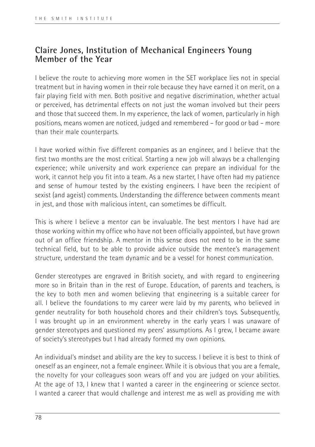## **Claire Jones, Institution of Mechanical Engineers Young Member of the Year**

I believe the route to achieving more women in the SET workplace lies not in special treatment but in having women in their role because they have earned it on merit, on a fair playing field with men. Both positive and negative discrimination, whether actual or perceived, has detrimental effects on not just the woman involved but their peers and those that succeed them. In my experience, the lack of women, particularly in high positions, means women are noticed, judged and remembered – for good or bad – more than their male counterparts.

I have worked within five different companies as an engineer, and I believe that the first two months are the most critical. Starting a new job will always be a challenging experience; while university and work experience can prepare an individual for the work, it cannot help you fit into a team. As a new starter, I have often had my patience and sense of humour tested by the existing engineers. I have been the recipient of sexist (and ageist) comments. Understanding the difference between comments meant in jest, and those with malicious intent, can sometimes be difficult.

This is where I believe a mentor can be invaluable. The best mentors I have had are those working within my office who have not been officially appointed, but have grown out of an office friendship. A mentor in this sense does not need to be in the same technical field, but to be able to provide advice outside the mentee's management structure, understand the team dynamic and be a vessel for honest communication.

Gender stereotypes are engraved in British society, and with regard to engineering more so in Britain than in the rest of Europe. Education, of parents and teachers, is the key to both men and women believing that engineering is a suitable career for all. I believe the foundations to my career were laid by my parents, who believed in gender neutrality for both household chores and their children's toys. Subsequently, I was brought up in an environment whereby in the early years I was unaware of gender stereotypes and questioned my peers' assumptions. As I grew, I became aware of society's stereotypes but I had already formed my own opinions.

An individual's mindset and ability are the key to success. I believe it is best to think of oneself as an engineer, not a female engineer. While it is obvious that you are a female, the novelty for your colleagues soon wears off and you are judged on your abilities. At the age of 13, I knew that I wanted a career in the engineering or science sector. I wanted a career that would challenge and interest me as well as providing me with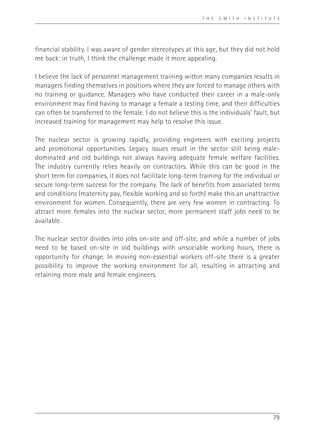financial stability. I was aware of gender stereotypes at this age, but they did not hold me back: in truth, I think the challenge made it more appealing.

I believe the lack of personnel management training within many companies results in managers finding themselves in positions where they are forced to manage others with no training or guidance. Managers who have conducted their career in a male-only environment may find having to manage a female a testing time, and their difficulties can often be transferred to the female. I do not believe this is the individuals' fault, but increased training for management may help to resolve this issue.

The nuclear sector is growing rapidly, providing engineers with exciting projects and promotional opportunities. Legacy issues result in the sector still being maledominated and old buildings not always having adequate female welfare facilities. The industry currently relies heavily on contractors. While this can be good in the short term for companies, it does not facilitate long-term training for the individual or secure long-term success for the company. The lack of benefits from associated terms and conditions (maternity pay, flexible working and so forth) make this an unattractive environment for women. Consequently, there are very few women in contracting. To attract more females into the nuclear sector, more permanent staff jobs need to be available.

The nuclear sector divides into jobs on-site and off-site, and while a number of jobs need to be based on-site in old buildings with unsociable working hours, there is opportunity for change. In moving non-essential workers off-site there is a greater possibility to improve the working environment for all, resulting in attracting and retaining more male and female engineers.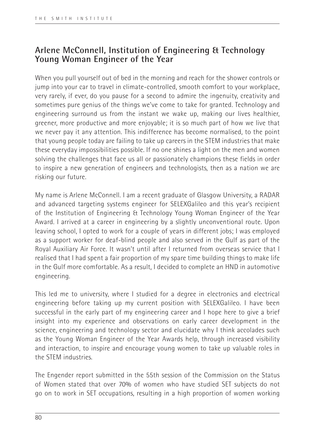## **Arlene McConnell, Institution of Engineering & Technology Young Woman Engineer of the Year**

When you pull yourself out of bed in the morning and reach for the shower controls or jump into your car to travel in climate-controlled, smooth comfort to your workplace, very rarely, if ever, do you pause for a second to admire the ingenuity, creativity and sometimes pure genius of the things we've come to take for granted. Technology and engineering surround us from the instant we wake up, making our lives healthier, greener, more productive and more enjoyable; it is so much part of how we live that we never pay it any attention. This indifference has become normalised, to the point that young people today are failing to take up careers in the STEM industries that make these everyday impossibilities possible. If no one shines a light on the men and women solving the challenges that face us all or passionately champions these fields in order to inspire a new generation of engineers and technologists, then as a nation we are risking our future.

My name is Arlene McConnell. I am a recent graduate of Glasgow University, a RADAR and advanced targeting systems engineer for SELEXGalileo and this year's recipient of the Institution of Engineering & Technology Young Woman Engineer of the Year Award. I arrived at a career in engineering by a slightly unconventional route. Upon leaving school, I opted to work for a couple of years in different jobs; I was employed as a support worker for deaf-blind people and also served in the Gulf as part of the Royal Auxiliary Air Force. It wasn't until after I returned from overseas service that I realised that I had spent a fair proportion of my spare time building things to make life in the Gulf more comfortable. As a result, I decided to complete an HND in automotive engineering.

This led me to university, where I studied for a degree in electronics and electrical engineering before taking up my current position with SELEXGalileo. I have been successful in the early part of my engineering career and I hope here to give a brief insight into my experience and observations on early career development in the science, engineering and technology sector and elucidate why I think accolades such as the Young Woman Engineer of the Year Awards help, through increased visibility and interaction, to inspire and encourage young women to take up valuable roles in the STEM industries.

The Engender report submitted in the 55th session of the Commission on the Status of Women stated that over 70% of women who have studied SET subjects do not go on to work in SET occupations, resulting in a high proportion of women working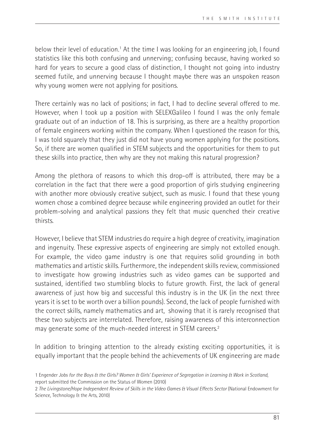below their level of education.<sup>1</sup> At the time I was looking for an engineering job, I found statistics like this both confusing and unnerving; confusing because, having worked so hard for years to secure a good class of distinction, I thought not going into industry seemed futile, and unnerving because I thought maybe there was an unspoken reason why young women were not applying for positions.

There certainly was no lack of positions; in fact, I had to decline several offered to me. However, when I took up a position with SELEXGalileo I found I was the only female graduate out of an induction of 18. This is surprising, as there are a healthy proportion of female engineers working within the company. When I questioned the reason for this, I was told squarely that they just did not have young women applying for the positions. So, if there are women qualified in STEM subjects and the opportunities for them to put these skills into practice, then why are they not making this natural progression?

Among the plethora of reasons to which this drop-off is attributed, there may be a correlation in the fact that there were a good proportion of girls studying engineering with another more obviously creative subject, such as music. I found that these young women chose a combined degree because while engineering provided an outlet for their problem-solving and analytical passions they felt that music quenched their creative thirsts.

However, I believe that STEM industries do require a high degree of creativity, imagination and ingenuity. These expressive aspects of engineering are simply not extolled enough. For example, the video game industry is one that requires solid grounding in both mathematics and artistic skills. Furthermore, the independent skills review, commissioned to investigate how growing industries such as video games can be supported and sustained, identified two stumbling blocks to future growth. First, the lack of general awareness of just how big and successful this industry is in the UK (in the next three years it is set to be worth over a billion pounds). Second, the lack of people furnished with the correct skills, namely mathematics and art, showing that it is rarely recognised that these two subjects are interrelated. Therefore, raising awareness of this interconnection may generate some of the much-needed interest in STEM careers.<sup>2</sup>

In addition to bringing attention to the already existing exciting opportunities, it is equally important that the people behind the achievements of UK engineering are made

<sup>1</sup> Engender *Jobs for the Boys & the Girls? Women & Girls' Experience of Segregation in Learning & Work in Scotland*, report submitted the Commission on the Status of Women (2010)

<sup>2</sup> *The Livingstone/Hope Independent Review of Skills in the Video Games & Visual Effects Sector* (National Endowment for Science, Technology & the Arts, 2010)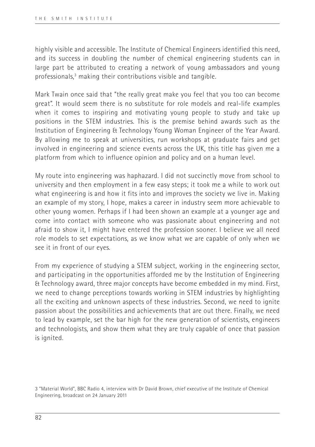highly visible and accessible. The Institute of Chemical Engineers identified this need, and its success in doubling the number of chemical engineering students can in large part be attributed to creating a network of young ambassadors and young professionals,3 making their contributions visible and tangible.

Mark Twain once said that "the really great make you feel that you too can become great". It would seem there is no substitute for role models and real-life examples when it comes to inspiring and motivating young people to study and take up positions in the STEM industries. This is the premise behind awards such as the Institution of Engineering & Technology Young Woman Engineer of the Year Award. By allowing me to speak at universities, run workshops at graduate fairs and get involved in engineering and science events across the UK, this title has given me a platform from which to influence opinion and policy and on a human level.

My route into engineering was haphazard. I did not succinctly move from school to university and then employment in a few easy steps; it took me a while to work out what engineering is and how it fits into and improves the society we live in. Making an example of my story, I hope, makes a career in industry seem more achievable to other young women. Perhaps if I had been shown an example at a younger age and come into contact with someone who was passionate about engineering and not afraid to show it, I might have entered the profession sooner. I believe we all need role models to set expectations, as we know what we are capable of only when we see it in front of our eyes.

From my experience of studying a STEM subject, working in the engineering sector, and participating in the opportunities afforded me by the Institution of Engineering & Technology award, three major concepts have become embedded in my mind. First, we need to change perceptions towards working in STEM industries by highlighting all the exciting and unknown aspects of these industries. Second, we need to ignite passion about the possibilities and achievements that are out there. Finally, we need to lead by example, set the bar high for the new generation of scientists, engineers and technologists, and show them what they are truly capable of once that passion is ignited.

3 "Material World", BBC Radio 4, interview with Dr David Brown, chief executive of the Institute of Chemical Engineering, broadcast on 24 January 2011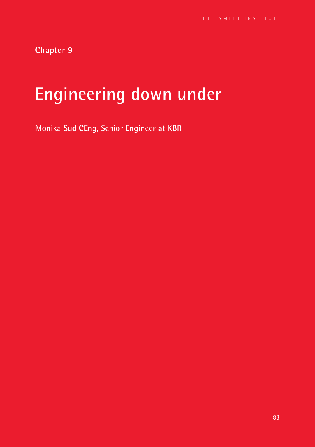**Chapter 9**

# **Engineering down under**

**Monika Sud CEng, Senior Engineer at KBR**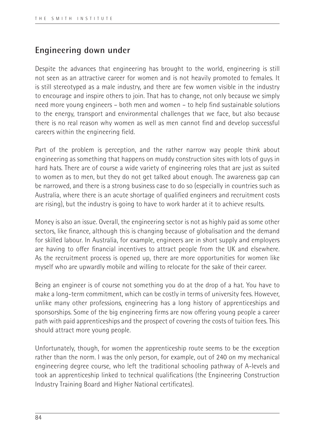## **Engineering down under**

Despite the advances that engineering has brought to the world, engineering is still not seen as an attractive career for women and is not heavily promoted to females. It is still stereotyped as a male industry, and there are few women visible in the industry to encourage and inspire others to join. That has to change, not only because we simply need more young engineers – both men and women – to help find sustainable solutions to the energy, transport and environmental challenges that we face, but also because there is no real reason why women as well as men cannot find and develop successful careers within the engineering field.

Part of the problem is perception, and the rather narrow way people think about engineering as something that happens on muddy construction sites with lots of guys in hard hats. There are of course a wide variety of engineering roles that are just as suited to women as to men, but they do not get talked about enough. The awareness gap can be narrowed, and there is a strong business case to do so (especially in countries such as Australia, where there is an acute shortage of qualified engineers and recruitment costs are rising), but the industry is going to have to work harder at it to achieve results.

Money is also an issue. Overall, the engineering sector is not as highly paid as some other sectors, like finance, although this is changing because of globalisation and the demand for skilled labour. In Australia, for example, engineers are in short supply and employers are having to offer financial incentives to attract people from the UK and elsewhere. As the recruitment process is opened up, there are more opportunities for women like myself who are upwardly mobile and willing to relocate for the sake of their career.

Being an engineer is of course not something you do at the drop of a hat. You have to make a long-term commitment, which can be costly in terms of university fees. However, unlike many other professions, engineering has a long history of apprenticeships and sponsorships. Some of the big engineering firms are now offering young people a career path with paid apprenticeships and the prospect of covering the costs of tuition fees. This should attract more young people.

Unfortunately, though, for women the apprenticeship route seems to be the exception rather than the norm. I was the only person, for example, out of 240 on my mechanical engineering degree course, who left the traditional schooling pathway of A-levels and took an apprenticeship linked to technical qualifications (the Engineering Construction Industry Training Board and Higher National certificates).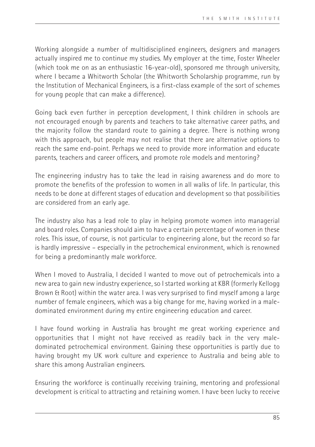Working alongside a number of multidisciplined engineers, designers and managers actually inspired me to continue my studies. My employer at the time, Foster Wheeler (which took me on as an enthusiastic 16-year-old), sponsored me through university, where I became a Whitworth Scholar (the Whitworth Scholarship programme, run by the Institution of Mechanical Engineers, is a first-class example of the sort of schemes for young people that can make a difference).

Going back even further in perception development, I think children in schools are not encouraged enough by parents and teachers to take alternative career paths, and the majority follow the standard route to gaining a degree. There is nothing wrong with this approach, but people may not realise that there are alternative options to reach the same end-point. Perhaps we need to provide more information and educate parents, teachers and career officers, and promote role models and mentoring?

The engineering industry has to take the lead in raising awareness and do more to promote the benefits of the profession to women in all walks of life. In particular, this needs to be done at different stages of education and development so that possibilities are considered from an early age.

The industry also has a lead role to play in helping promote women into managerial and board roles. Companies should aim to have a certain percentage of women in these roles. This issue, of course, is not particular to engineering alone, but the record so far is hardly impressive – especially in the petrochemical environment, which is renowned for being a predominantly male workforce.

When I moved to Australia, I decided I wanted to move out of petrochemicals into a new area to gain new industry experience, so I started working at KBR (formerly Kellogg Brown & Root) within the water area. I was very surprised to find myself among a large number of female engineers, which was a big change for me, having worked in a maledominated environment during my entire engineering education and career.

I have found working in Australia has brought me great working experience and opportunities that I might not have received as readily back in the very maledominated petrochemical environment. Gaining these opportunities is partly due to having brought my UK work culture and experience to Australia and being able to share this among Australian engineers.

Ensuring the workforce is continually receiving training, mentoring and professional development is critical to attracting and retaining women. I have been lucky to receive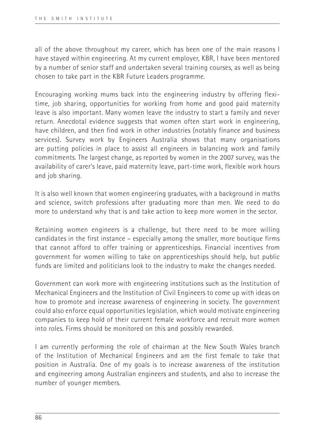all of the above throughout my career, which has been one of the main reasons I have stayed within engineering. At my current employer, KBR, I have been mentored by a number of senior staff and undertaken several training courses, as well as being chosen to take part in the KBR Future Leaders programme.

Encouraging working mums back into the engineering industry by offering flexitime, job sharing, opportunities for working from home and good paid maternity leave is also important. Many women leave the industry to start a family and never return. Anecdotal evidence suggests that women often start work in engineering, have children, and then find work in other industries (notably finance and business services). Survey work by Engineers Australia shows that many organisations are putting policies in place to assist all engineers in balancing work and family commitments. The largest change, as reported by women in the 2007 survey, was the availability of carer's leave, paid maternity leave, part-time work, flexible work hours and job sharing.

It is also well known that women engineering graduates, with a background in maths and science, switch professions after graduating more than men. We need to do more to understand why that is and take action to keep more women in the sector.

Retaining women engineers is a challenge, but there need to be more willing candidates in the first instance – especially among the smaller, more boutique firms that cannot afford to offer training or apprenticeships. Financial incentives from government for women willing to take on apprenticeships should help, but public funds are limited and politicians look to the industry to make the changes needed.

Government can work more with engineering institutions such as the Institution of Mechanical Engineers and the Institution of Civil Engineers to come up with ideas on how to promote and increase awareness of engineering in society. The government could also enforce equal opportunities legislation, which would motivate engineering companies to keep hold of their current female workforce and recruit more women into roles. Firms should be monitored on this and possibly rewarded.

I am currently performing the role of chairman at the New South Wales branch of the Institution of Mechanical Engineers and am the first female to take that position in Australia. One of my goals is to increase awareness of the institution and engineering among Australian engineers and students, and also to increase the number of younger members.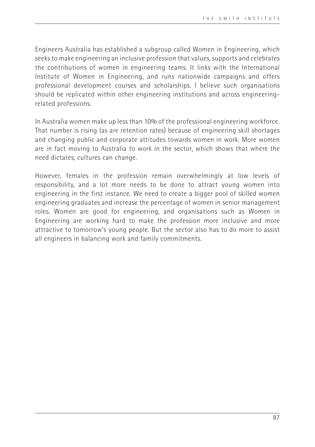Engineers Australia has established a subgroup called Women in Engineering, which seeks to make engineering an inclusive profession that values, supports and celebrates the contributions of women in engineering teams. It links with the International Institute of Women in Engineering, and runs nationwide campaigns and offers professional development courses and scholarships. I believe such organisations should be replicated within other engineering institutions and across engineeringrelated professions.

In Australia women make up less than 10% of the professional engineering workforce. That number is rising (as are retention rates) because of engineering skill shortages and changing public and corporate attitudes towards women in work. More women are in fact moving to Australia to work in the sector, which shows that where the need dictates, cultures can change.

However, females in the profession remain overwhelmingly at low levels of responsibility, and a lot more needs to be done to attract young women into engineering in the first instance. We need to create a bigger pool of skilled women engineering graduates and increase the percentage of women in senior management roles. Women are good for engineering, and organisations such as Women in Engineering are working hard to make the profession more inclusive and more attractive to tomorrow's young people. But the sector also has to do more to assist all engineers in balancing work and family commitments.